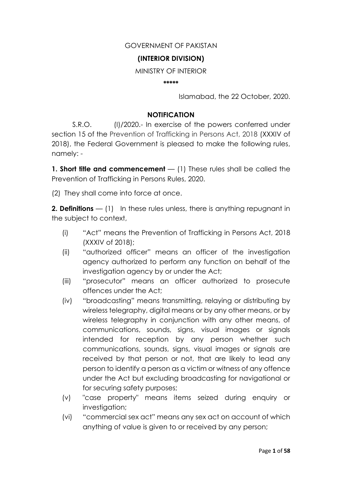### GOVERNMENT OF PAKISTAN

### **(INTERIOR DIVISION)**

MINISTRY OF INTERIOR

**\*\*\*\*\***

Islamabad, the 22 October, 2020.

### **NOTIFICATION**

S.R.O. (I)/2020.- In exercise of the powers conferred under section 15 of the Prevention of Trafficking in Persons Act, 2018 (XXXIV of 2018), the Federal Government is pleased to make the following rules, namely: -

**1. Short title and commencement** — (1) These rules shall be called the Prevention of Trafficking in Persons Rules, 2020.

(2) They shall come into force at once.

**2. Definitions** — (1) In these rules unless, there is anything repugnant in the subject to context,

- (i) "Act" means the Prevention of Trafficking in Persons Act, 2018 (XXXIV of 2018);
- (ii) "authorized officer" means an officer of the investigation agency authorized to perform any function on behalf of the investigation agency by or under the Act;
- (iii) "prosecutor" means an officer authorized to prosecute offences under the Act;
- (iv) "broadcasting" means transmitting, relaying or distributing by wireless telegraphy, digital means or by any other means, or by wireless telegraphy in conjunction with any other means, of communications, sounds, signs, visual images or signals intended for reception by any person whether such communications, sounds, signs, visual images or signals are received by that person or not, that are likely to lead any person to identify a person as a victim or witness of any offence under the Act but excluding broadcasting for navigational or for securing safety purposes;
- (v) "case property" means items seized during enquiry or investigation;
- (vi) "commercial sex act" means any sex act on account of which anything of value is given to or received by any person;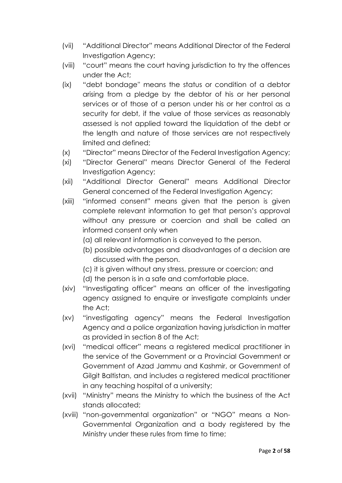- (vii) "Additional Director" means Additional Director of the Federal Investigation Agency;
- (viii) "court" means the court having jurisdiction to try the offences under the Act;
- (ix) "debt bondage'' means the status or condition of a debtor arising from a pledge by the debtor of his or her personal services or of those of a person under his or her control as a security for debt, if the value of those services as reasonably assessed is not applied toward the liquidation of the debt or the length and nature of those services are not respectively limited and defined;
- (x) "Director" means Director of the Federal Investigation Agency;
- (xi) "Director General" means Director General of the Federal Investigation Agency;
- (xii) "Additional Director General" means Additional Director General concerned of the Federal Investigation Agency;
- (xiii) "informed consent" means given that the person is given complete relevant information to get that person's approval without any pressure or coercion and shall be called an informed consent only when
	- (a) all relevant information is conveyed to the person.
	- (b) possible advantages and disadvantages of a decision are discussed with the person.
	- (c) it is given without any stress, pressure or coercion; and
	- (d) the person is in a safe and comfortable place.
- (xiv) "Investigating officer" means an officer of the investigating agency assigned to enquire or investigate complaints under the Act;
- (xv) "investigating agency" means the Federal Investigation Agency and a police organization having jurisdiction in matter as provided in section 8 of the Act;
- (xvi) "medical officer" means a registered medical practitioner in the service of the Government or a Provincial Government or Government of Azad Jammu and Kashmir, or Government of Gilgit Baltistan, and includes a registered medical practitioner in any teaching hospital of a university;
- (xvii) "Ministry" means the Ministry to which the business of the Act stands allocated;
- (xviii) "non-governmental organization" or "NGO" means a Non-Governmental Organization and a body registered by the Ministry under these rules from time to time;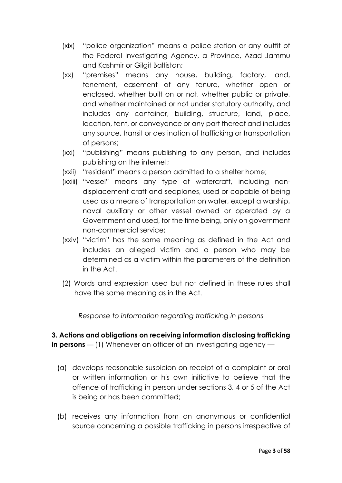- (xix) "police organization" means a police station or any outfit of the Federal Investigating Agency, a Province, Azad Jammu and Kashmir or Gilgit Baltistan;
- (xx) "premises" means any house, building, factory, land, tenement, easement of any tenure, whether open or enclosed, whether built on or not, whether public or private, and whether maintained or not under statutory authority, and includes any container, building, structure, land, place, location, tent, or conveyance or any part thereof and includes any source, transit or destination of trafficking or transportation of persons;
- (xxi) "publishing" means publishing to any person, and includes publishing on the internet;
- (xxii) "resident" means a person admitted to a shelter home;
- (xxiii) "vessel" means any type of watercraft, including nondisplacement craft and seaplanes, used or capable of being used as a means of transportation on water, except a warship, naval auxiliary or other vessel owned or operated by a Government and used, for the time being, only on government non-commercial service;
- (xxiv) "victim" has the same meaning as defined in the Act and includes an alleged victim and a person who may be determined as a victim within the parameters of the definition in the Act.
- (2) Words and expression used but not defined in these rules shall have the same meaning as in the Act.

*Response to information regarding trafficking in persons*

**3. Actions and obligations on receiving information disclosing trafficking in persons** — (1) Whenever an officer of an investigating agency —

- (a) develops reasonable suspicion on receipt of a complaint or oral or written information or his own initiative to believe that the offence of trafficking in person under sections 3, 4 or 5 of the Act is being or has been committed;
- (b) receives any information from an anonymous or confidential source concerning a possible trafficking in persons irrespective of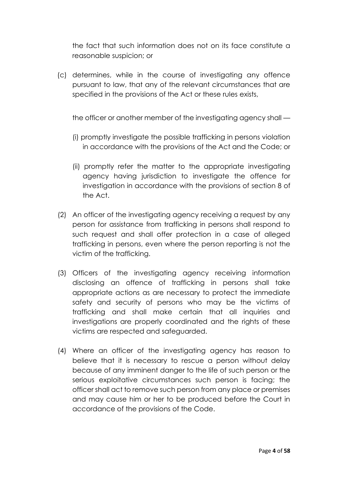the fact that such information does not on its face constitute a reasonable suspicion; or

(c) determines, while in the course of investigating any offence pursuant to law, that any of the relevant circumstances that are specified in the provisions of the Act or these rules exists,

the officer or another member of the investigating agency shall —

- (i) promptly investigate the possible trafficking in persons violation in accordance with the provisions of the Act and the Code; or
- (ii) promptly refer the matter to the appropriate investigating agency having jurisdiction to investigate the offence for investigation in accordance with the provisions of section 8 of the Act.
- (2) An officer of the investigating agency receiving a request by any person for assistance from trafficking in persons shall respond to such request and shall offer protection in a case of alleged trafficking in persons, even where the person reporting is not the victim of the trafficking.
- (3) Officers of the investigating agency receiving information disclosing an offence of trafficking in persons shall take appropriate actions as are necessary to protect the immediate safety and security of persons who may be the victims of trafficking and shall make certain that all inquiries and investigations are properly coordinated and the rights of these victims are respected and safeguarded.
- (4) Where an officer of the investigating agency has reason to believe that it is necessary to rescue a person without delay because of any imminent danger to the life of such person or the serious exploitative circumstances such person is facing; the officer shall act to remove such person from any place or premises and may cause him or her to be produced before the Court in accordance of the provisions of the Code.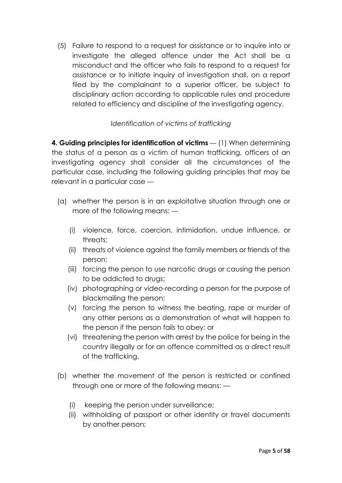(5) Failure to respond to a request for assistance or to inquire into or investigate the alleged offence under the Act shall be a misconduct and the officer who fails to respond to a request for assistance or to initiate inquiry of investigation shall, on a report filed by the complainant to a superior officer, be subject to disciplinary action according to applicable rules and procedure related to efficiency and discipline of the investigating agency.

# *Identification of victims of trafficking*

**4. Guiding principles for identification of victims** — (1) When determining the status of a person as a victim of human trafficking, officers of an investigating agency shall consider all the circumstances of the particular case, including the following guiding principles that may be relevant in a particular case —

- (a) whether the person is in an exploitative situation through one or more of the following means: —
	- (i) violence, force, coercion, intimidation, undue influence, or threats;
	- (ii) threats of violence against the family members or friends of the person;
	- (iii) forcing the person to use narcotic drugs or causing the person to be addicted to drugs;
	- (iv) photographing or video-recording a person for the purpose of blackmailing the person;
	- (v) forcing the person to witness the beating, rape or murder of any other persons as a demonstration of what will happen to the person if the person fails to obey; or
	- (vi) threatening the person with arrest by the police for being in the country illegally or for an offence committed as a direct result of the trafficking.
- (b) whether the movement of the person is restricted or confined through one or more of the following means: —
	- (i) keeping the person under surveillance;
	- (ii) withholding of passport or other identity or travel documents by another person;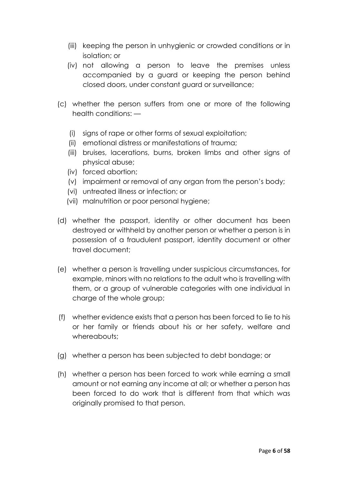- (iii) keeping the person in unhygienic or crowded conditions or in isolation; or
- (iv) not allowing a person to leave the premises unless accompanied by a guard or keeping the person behind closed doors, under constant guard or surveillance;
- (c) whether the person suffers from one or more of the following health conditions: —
	- (i) signs of rape or other forms of sexual exploitation;
	- (ii) emotional distress or manifestations of trauma;
	- (iii) bruises, lacerations, burns, broken limbs and other signs of physical abuse;
	- (iv) forced abortion;
	- (v) impairment or removal of any organ from the person's body;
	- (vi) untreated illness or infection; or
	- (vii) malnutrition or poor personal hygiene;
- (d) whether the passport, identity or other document has been destroyed or withheld by another person or whether a person is in possession of a fraudulent passport, identity document or other travel document;
- (e) whether a person is travelling under suspicious circumstances, for example, minors with no relations to the adult who is travelling with them, or a group of vulnerable categories with one individual in charge of the whole group;
- (f) whether evidence exists that a person has been forced to lie to his or her family or friends about his or her safety, welfare and whereabouts:
- (g) whether a person has been subjected to debt bondage; or
- (h) whether a person has been forced to work while earning a small amount or not earning any income at all; or whether a person has been forced to do work that is different from that which was originally promised to that person.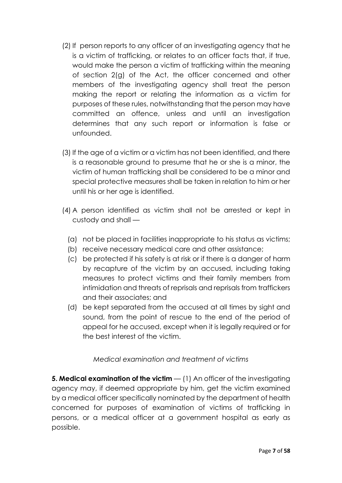- (2) If person reports to any officer of an investigating agency that he is a victim of trafficking, or relates to an officer facts that, if true, would make the person a victim of trafficking within the meaning of section 2(g) of the Act, the officer concerned and other members of the investigating agency shall treat the person making the report or relating the information as a victim for purposes of these rules, notwithstanding that the person may have committed an offence, unless and until an investigation determines that any such report or information is false or unfounded.
- (3) If the age of a victim or a victim has not been identified, and there is a reasonable ground to presume that he or she is a minor, the victim of human trafficking shall be considered to be a minor and special protective measures shall be taken in relation to him or her until his or her age is identified.
- (4) A person identified as victim shall not be arrested or kept in custody and shall —
	- (a) not be placed in facilities inappropriate to his status as victims;
	- (b) receive necessary medical care and other assistance;
	- (c) be protected if his safety is at risk or if there is a danger of harm by recapture of the victim by an accused, including taking measures to protect victims and their family members from intimidation and threats of reprisals and reprisals from traffickers and their associates; and
	- (d) be kept separated from the accused at all times by sight and sound, from the point of rescue to the end of the period of appeal for he accused, except when it is legally required or for the best interest of the victim.

# *Medical examination and treatment of victims*

**5. Medical examination of the victim** — (1) An officer of the investigating agency may, if deemed appropriate by him, get the victim examined by a medical officer specifically nominated by the department of health concerned for purposes of examination of victims of trafficking in persons, or a medical officer at a government hospital as early as possible.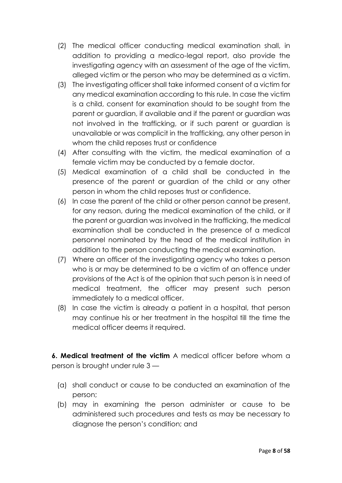- (2) The medical officer conducting medical examination shall, in addition to providing a medico-legal report, also provide the investigating agency with an assessment of the age of the victim, alleged victim or the person who may be determined as a victim.
- (3) The investigating officer shall take informed consent of a victim for any medical examination according to this rule. In case the victim is a child, consent for examination should to be sought from the parent or guardian, if available and if the parent or guardian was not involved in the trafficking, or if such parent or guardian is unavailable or was complicit in the trafficking, any other person in whom the child reposes trust or confidence
- (4) After consulting with the victim, the medical examination of a female victim may be conducted by a female doctor.
- (5) Medical examination of a child shall be conducted in the presence of the parent or guardian of the child or any other person in whom the child reposes trust or confidence.
- (6) In case the parent of the child or other person cannot be present, for any reason, during the medical examination of the child, or if the parent or guardian was involved in the trafficking, the medical examination shall be conducted in the presence of a medical personnel nominated by the head of the medical institution in addition to the person conducting the medical examination.
- (7) Where an officer of the investigating agency who takes a person who is or may be determined to be a victim of an offence under provisions of the Act is of the opinion that such person is in need of medical treatment, the officer may present such person immediately to a medical officer.
- (8) In case the victim is already a patient in a hospital, that person may continue his or her treatment in the hospital till the time the medical officer deems it required.

**6. Medical treatment of the victim** A medical officer before whom a person is brought under rule 3 —

- (a) shall conduct or cause to be conducted an examination of the person;
- (b) may in examining the person administer or cause to be administered such procedures and tests as may be necessary to diagnose the person's condition; and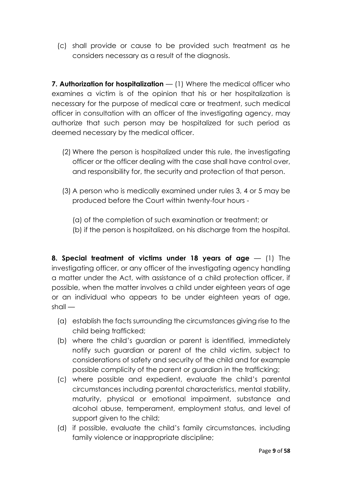(c) shall provide or cause to be provided such treatment as he considers necessary as a result of the diagnosis.

**7. Authorization for hospitalization** — (1) Where the medical officer who examines a victim is of the opinion that his or her hospitalization is necessary for the purpose of medical care or treatment, such medical officer in consultation with an officer of the investigating agency, may authorize that such person may be hospitalized for such period as deemed necessary by the medical officer.

- (2) Where the person is hospitalized under this rule, the investigating officer or the officer dealing with the case shall have control over, and responsibility for, the security and protection of that person.
- (3) A person who is medically examined under rules 3, 4 or 5 may be produced before the Court within twenty-four hours -
	- (a) of the completion of such examination or treatment; or
	- (b) if the person is hospitalized, on his discharge from the hospital.

**8. Special treatment of victims under 18 years of age** — (1) The investigating officer, or any officer of the investigating agency handling a matter under the Act, with assistance of a child protection officer, if possible, when the matter involves a child under eighteen years of age or an individual who appears to be under eighteen years of age,  $shall -$ 

- (a) establish the facts surrounding the circumstances giving rise to the child being trafficked;
- (b) where the child's guardian or parent is identified, immediately notify such guardian or parent of the child victim, subject to considerations of safety and security of the child and for example possible complicity of the parent or guardian in the trafficking;
- (c) where possible and expedient, evaluate the child's parental circumstances including parental characteristics, mental stability, maturity, physical or emotional impairment, substance and alcohol abuse, temperament, employment status, and level of support given to the child;
- (d) if possible, evaluate the child's family circumstances, including family violence or inappropriate discipline;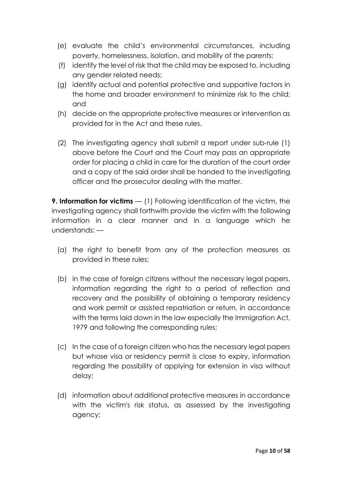- (e) evaluate the child's environmental circumstances, including poverty, homelessness, isolation, and mobility of the parents;
- (f) identify the level of risk that the child may be exposed to, including any gender related needs;
- (g) identify actual and potential protective and supportive factors in the home and broader environment to minimize risk to the child; and
- (h) decide on the appropriate protective measures or intervention as provided for in the Act and these rules.
- (2) The investigating agency shall submit a report under sub-rule (1) above before the Court and the Court may pass an appropriate order for placing a child in care for the duration of the court order and a copy of the said order shall be handed to the investigating officer and the prosecutor dealing with the matter.

**9. Information for victims** — (1) Following identification of the victim, the investigating agency shall forthwith provide the victim with the following information in a clear manner and in a language which he understands: —

- (a) the right to benefit from any of the protection measures as provided in these rules;
- (b) in the case of foreign citizens without the necessary legal papers, information regarding the right to a period of reflection and recovery and the possibility of obtaining a temporary residency and work permit or assisted repatriation or return, in accordance with the terms laid down in the law especially the Immigration Act, 1979 and following the corresponding rules;
- (c) In the case of a foreign citizen who has the necessary legal papers but whose visa or residency permit is close to expiry, information regarding the possibility of applying for extension in visa without delay;
- (d) information about additional protective measures in accordance with the victim's risk status, as assessed by the investigating agency;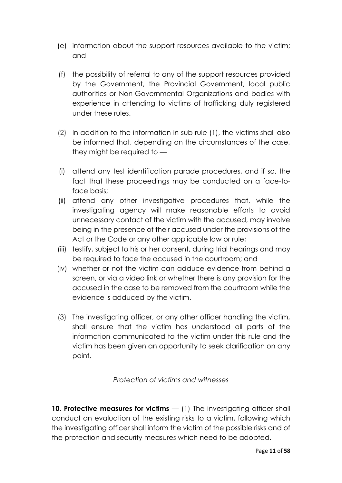- (e) information about the support resources available to the victim; and
- (f) the possibility of referral to any of the support resources provided by the Government, the Provincial Government, local public authorities or Non-Governmental Organizations and bodies with experience in attending to victims of trafficking duly registered under these rules.
- (2) In addition to the information in sub-rule (1), the victims shall also be informed that, depending on the circumstances of the case, they might be required to —
- (i) attend any test identification parade procedures, and if so, the fact that these proceedings may be conducted on a face-toface basis;
- (ii) attend any other investigative procedures that, while the investigating agency will make reasonable efforts to avoid unnecessary contact of the victim with the accused, may involve being in the presence of their accused under the provisions of the Act or the Code or any other applicable law or rule;
- (iii) testify, subject to his or her consent, during trial hearings and may be required to face the accused in the courtroom; and
- (iv) whether or not the victim can adduce evidence from behind a screen, or via a video link or whether there is any provision for the accused in the case to be removed from the courtroom while the evidence is adduced by the victim.
- (3) The investigating officer, or any other officer handling the victim, shall ensure that the victim has understood all parts of the information communicated to the victim under this rule and the victim has been given an opportunity to seek clarification on any point.

*Protection of victims and witnesses*

**10. Protective measures for victims** — (1) The investigating officer shall conduct an evaluation of the existing risks to a victim, following which the investigating officer shall inform the victim of the possible risks and of the protection and security measures which need to be adopted.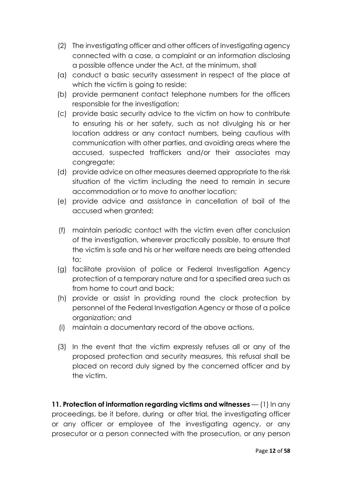- (2) The investigating officer and other officers of investigating agency connected with a case, a complaint or an information disclosing a possible offence under the Act, at the minimum, shall
- (a) conduct a basic security assessment in respect of the place at which the victim is going to reside;
- (b) provide permanent contact telephone numbers for the officers responsible for the investigation;
- (c) provide basic security advice to the victim on how to contribute to ensuring his or her safety, such as not divulging his or her location address or any contact numbers, being cautious with communication with other parties, and avoiding areas where the accused, suspected traffickers and/or their associates may congregate;
- (d) provide advice on other measures deemed appropriate to the risk situation of the victim including the need to remain in secure accommodation or to move to another location;
- (e) provide advice and assistance in cancellation of bail of the accused when granted;
- (f) maintain periodic contact with the victim even after conclusion of the investigation, wherever practically possible, to ensure that the victim is safe and his or her welfare needs are being attended to;
- (g) facilitate provision of police or Federal Investigation Agency protection of a temporary nature and for a specified area such as from home to court and back;
- (h) provide or assist in providing round the clock protection by personnel of the Federal Investigation Agency or those of a police organization; and
- (i) maintain a documentary record of the above actions.
- (3) In the event that the victim expressly refuses all or any of the proposed protection and security measures, this refusal shall be placed on record duly signed by the concerned officer and by the victim.

**11. Protection of information regarding victims and witnesses** — (1) In any proceedings, be it before, during or after trial, the investigating officer or any officer or employee of the investigating agency, or any prosecutor or a person connected with the prosecution, or any person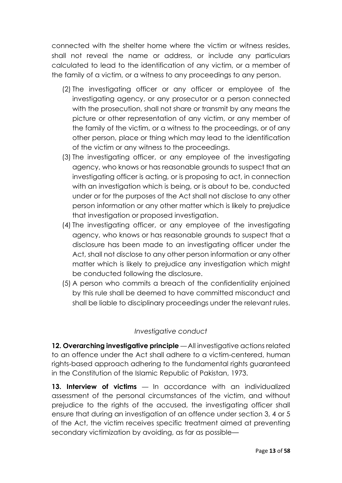connected with the shelter home where the victim or witness resides, shall not reveal the name or address, or include any particulars calculated to lead to the identification of any victim, or a member of the family of a victim, or a witness to any proceedings to any person.

- (2) The investigating officer or any officer or employee of the investigating agency, or any prosecutor or a person connected with the prosecution, shall not share or transmit by any means the picture or other representation of any victim, or any member of the family of the victim, or a witness to the proceedings, or of any other person, place or thing which may lead to the identification of the victim or any witness to the proceedings.
- (3) The investigating officer, or any employee of the investigating agency, who knows or has reasonable grounds to suspect that an investigating officer is acting, or is proposing to act, in connection with an investigation which is being, or is about to be, conducted under or for the purposes of the Act shall not disclose to any other person information or any other matter which is likely to prejudice that investigation or proposed investigation.
- (4) The investigating officer, or any employee of the investigating agency, who knows or has reasonable grounds to suspect that a disclosure has been made to an investigating officer under the Act, shall not disclose to any other person information or any other matter which is likely to prejudice any investigation which might be conducted following the disclosure.
- (5) A person who commits a breach of the confidentiality enjoined by this rule shall be deemed to have committed misconduct and shall be liable to disciplinary proceedings under the relevant rules.

### *Investigative conduct*

**12. Overarching investigative principle** — All investigative actions related to an offence under the Act shall adhere to a victim-centered, human rights-based approach adhering to the fundamental rights guaranteed in the Constitution of the Islamic Republic of Pakistan, 1973.

**13. Interview of victims** — In accordance with an individualized assessment of the personal circumstances of the victim, and without prejudice to the rights of the accused, the investigating officer shall ensure that during an investigation of an offence under section 3, 4 or 5 of the Act, the victim receives specific treatment aimed at preventing secondary victimization by avoiding, as far as possible—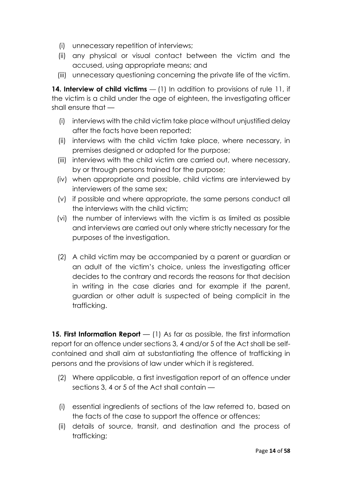- (i) unnecessary repetition of interviews;
- (ii) any physical or visual contact between the victim and the accused, using appropriate means; and
- (iii) unnecessary questioning concerning the private life of the victim.

14. Interview of child victims – (1) In addition to provisions of rule 11, if the victim is a child under the age of eighteen, the investigating officer shall ensure that —

- (i) interviews with the child victim take place without unjustified delay after the facts have been reported;
- (ii) interviews with the child victim take place, where necessary, in premises designed or adapted for the purpose;
- (iii) interviews with the child victim are carried out, where necessary, by or through persons trained for the purpose;
- (iv) when appropriate and possible, child victims are interviewed by interviewers of the same sex;
- (v) if possible and where appropriate, the same persons conduct all the interviews with the child victim;
- (vi) the number of interviews with the victim is as limited as possible and interviews are carried out only where strictly necessary for the purposes of the investigation.
- (2) A child victim may be accompanied by a parent or guardian or an adult of the victim's choice, unless the investigating officer decides to the contrary and records the reasons for that decision in writing in the case diaries and for example if the parent, guardian or other adult is suspected of being complicit in the trafficking.

**15. First Information Report** — (1) As far as possible, the first information report for an offence under sections 3, 4 and/or 5 of the Act shall be selfcontained and shall aim at substantiating the offence of trafficking in persons and the provisions of law under which it is registered.

- (2) Where applicable, a first investigation report of an offence under sections 3, 4 or 5 of the Act shall contain —
- (i) essential ingredients of sections of the law referred to, based on the facts of the case to support the offence or offences;
- (ii) details of source, transit, and destination and the process of trafficking;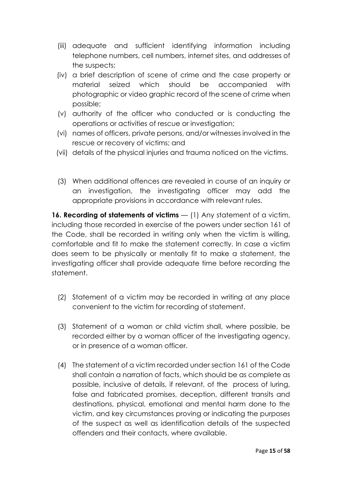- (iii) adequate and sufficient identifying information including telephone numbers, cell numbers, internet sites, and addresses of the suspects;
- (iv) a brief description of scene of crime and the case property or material seized which should be accompanied with photographic or video graphic record of the scene of crime when possible;
- (v) authority of the officer who conducted or is conducting the operations or activities of rescue or investigation;
- (vi) names of officers, private persons, and/or witnesses involved in the rescue or recovery of victims; and
- (vii) details of the physical injuries and trauma noticed on the victims.
- (3) When additional offences are revealed in course of an inquiry or an investigation, the investigating officer may add the appropriate provisions in accordance with relevant rules.

**16. Recording of statements of victims** — (1) Any statement of a victim, including those recorded in exercise of the powers under section 161 of the Code, shall be recorded in writing only when the victim is willing, comfortable and fit to make the statement correctly. In case a victim does seem to be physically or mentally fit to make a statement, the investigating officer shall provide adequate time before recording the statement.

- (2) Statement of a victim may be recorded in writing at any place convenient to the victim for recording of statement.
- (3) Statement of a woman or child victim shall, where possible, be recorded either by a woman officer of the investigating agency, or in presence of a woman officer.
- (4) The statement of a victim recorded under section 161 of the Code shall contain a narration of facts, which should be as complete as possible, inclusive of details, if relevant, of the process of luring, false and fabricated promises, deception, different transits and destinations, physical, emotional and mental harm done to the victim, and key circumstances proving or indicating the purposes of the suspect as well as identification details of the suspected offenders and their contacts, where available.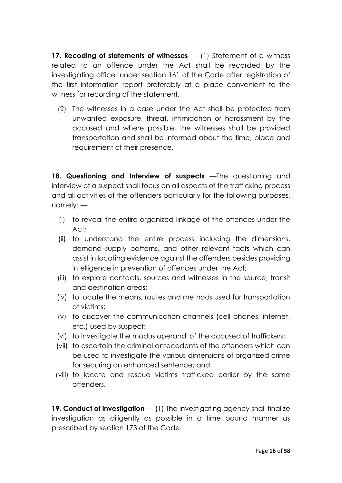**17. Recoding of statements of witnesses** — (1) Statement of a witness related to an offence under the Act shall be recorded by the investigating officer under section 161 of the Code after registration of the first information report preferably at a place convenient to the witness for recording of the statement.

(2) The witnesses in a case under the Act shall be protected from unwanted exposure, threat, intimidation or harassment by the accused and where possible, the witnesses shall be provided transportation and shall be informed about the time, place and requirement of their presence.

**18. Questioning and Interview of suspects** —The questioning and interview of a suspect shall focus on all aspects of the trafficking process and all activities of the offenders particularly for the following purposes, namely: —

- (i) to reveal the entire organized linkage of the offences under the Act;
- (ii) to understand the entire process including the dimensions, demand–supply patterns, and other relevant facts which can assist in locating evidence against the offenders besides providing intelligence in prevention of offences under the Act;
- (iii) to explore contacts, sources and witnesses in the source, transit and destination areas;
- (iv) to locate the means, routes and methods used for transportation of victims;
- (v) to discover the communication channels (cell phones, internet, etc.) used by suspect;
- (vi) to investigate the modus operandi of the accused of traffickers;
- (vii) to ascertain the criminal antecedents of the offenders which can be used to investigate the various dimensions of organized crime for securing an enhanced sentence; and
- (viii) to locate and rescue victims trafficked earlier by the same offenders.

**19. Conduct of investigation** — (1) The investigating agency shall finalize investigation as diligently as possible in a time bound manner as prescribed by section 173 of the Code.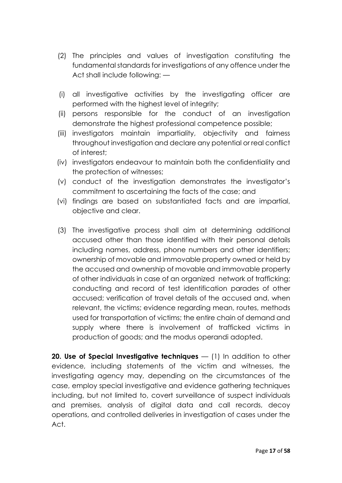- (2) The principles and values of investigation constituting the fundamental standards for investigations of any offence under the Act shall include following: —
- (i) all investigative activities by the investigating officer are performed with the highest level of integrity;
- (ii) persons responsible for the conduct of an investigation demonstrate the highest professional competence possible;
- (iii) investigators maintain impartiality, objectivity and fairness throughout investigation and declare any potential or real conflict of interest;
- (iv) investigators endeavour to maintain both the confidentiality and the protection of witnesses;
- (v) conduct of the investigation demonstrates the investigator's commitment to ascertaining the facts of the case; and
- (vi) findings are based on substantiated facts and are impartial, objective and clear.
- (3) The investigative process shall aim at determining additional accused other than those identified with their personal details including names, address, phone numbers and other identifiers; ownership of movable and immovable property owned or held by the accused and ownership of movable and immovable property of other individuals in case of an organized network of trafficking; conducting and record of test identification parades of other accused; verification of travel details of the accused and, when relevant, the victims; evidence regarding mean, routes, methods used for transportation of victims; the entire chain of demand and supply where there is involvement of trafficked victims in production of goods; and the modus operandi adopted.

**20. Use of Special Investigative techniques** — (1) In addition to other evidence, including statements of the victim and witnesses, the investigating agency may, depending on the circumstances of the case, employ special investigative and evidence gathering techniques including, but not limited to, covert surveillance of suspect individuals and premises, analysis of digital data and call records, decoy operations, and controlled deliveries in investigation of cases under the Act.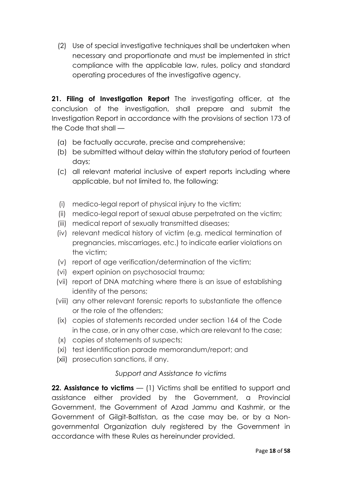(2) Use of special investigative techniques shall be undertaken when necessary and proportionate and must be implemented in strict compliance with the applicable law, rules, policy and standard operating procedures of the investigative agency.

**21. Filing of Investigation Report** The investigating officer, at the conclusion of the investigation, shall prepare and submit the Investigation Report in accordance with the provisions of section 173 of the Code that shall —

- (a) be factually accurate, precise and comprehensive;
- (b) be submitted without delay within the statutory period of fourteen days;
- (c) all relevant material inclusive of expert reports including where applicable, but not limited to, the following:
- (i) medico-legal report of physical injury to the victim;
- (ii) medico-legal report of sexual abuse perpetrated on the victim;
- (iii) medical report of sexually transmitted diseases;
- (iv) relevant medical history of victim (e.g. medical termination of pregnancies, miscarriages, etc.) to indicate earlier violations on the victim;
- (v) report of age verification/determination of the victim;
- (vi) expert opinion on psychosocial trauma;
- (vii) report of DNA matching where there is an issue of establishing identity of the persons;
- (viii) any other relevant forensic reports to substantiate the offence or the role of the offenders;
- (ix) copies of statements recorded under section 164 of the Code in the case, or in any other case, which are relevant to the case;
- (x) copies of statements of suspects;
- (xi) test identification parade memorandum/report; and
- (xii) prosecution sanctions, if any.

### *Support and Assistance to victims*

**22. Assistance to victims** — (1) Victims shall be entitled to support and assistance either provided by the Government, a Provincial Government, the Government of Azad Jammu and Kashmir, or the Government of Gilgit-Baltistan, as the case may be, or by a Nongovernmental Organization duly registered by the Government in accordance with these Rules as hereinunder provided.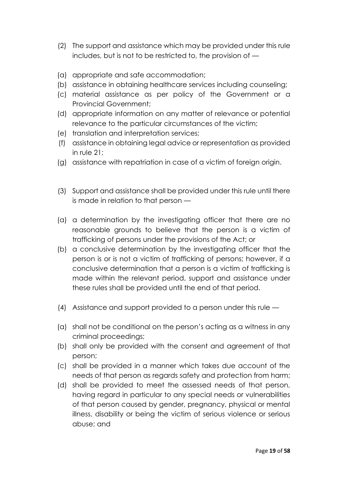- (2) The support and assistance which may be provided under this rule includes, but is not to be restricted to, the provision of —
- (a) appropriate and safe accommodation;
- (b) assistance in obtaining healthcare services including counseling;
- (c) material assistance as per policy of the Government or a Provincial Government;
- (d) appropriate information on any matter of relevance or potential relevance to the particular circumstances of the victim;
- (e) translation and interpretation services;
- (f) assistance in obtaining legal advice or representation as provided in rule 21;
- (g) assistance with repatriation in case of a victim of foreign origin.
- (3) Support and assistance shall be provided under this rule until there is made in relation to that person —
- (a) a determination by the investigating officer that there are no reasonable grounds to believe that the person is a victim of trafficking of persons under the provisions of the Act; or
- (b) a conclusive determination by the investigating officer that the person is or is not a victim of trafficking of persons; however, if a conclusive determination that a person is a victim of trafficking is made within the relevant period, support and assistance under these rules shall be provided until the end of that period.
- (4) Assistance and support provided to a person under this rule —
- (a) shall not be conditional on the person's acting as a witness in any criminal proceedings;
- (b) shall only be provided with the consent and agreement of that person;
- (c) shall be provided in a manner which takes due account of the needs of that person as regards safety and protection from harm;
- (d) shall be provided to meet the assessed needs of that person, having regard in particular to any special needs or vulnerabilities of that person caused by gender, pregnancy, physical or mental illness, disability or being the victim of serious violence or serious abuse; and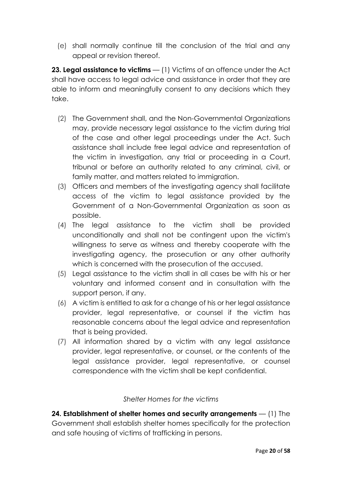(e) shall normally continue till the conclusion of the trial and any appeal or revision thereof.

**23. Legal assistance to victims** — (1) Victims of an offence under the Act shall have access to legal advice and assistance in order that they are able to inform and meaningfully consent to any decisions which they take.

- (2) The Government shall, and the Non-Governmental Organizations may, provide necessary legal assistance to the victim during trial of the case and other legal proceedings under the Act. Such assistance shall include free legal advice and representation of the victim in investigation, any trial or proceeding in a Court, tribunal or before an authority related to any criminal, civil, or family matter, and matters related to immigration.
- (3) Officers and members of the investigating agency shall facilitate access of the victim to legal assistance provided by the Government of a Non-Governmental Organization as soon as possible.
- (4) The legal assistance to the victim shall be provided unconditionally and shall not be contingent upon the victim's willingness to serve as witness and thereby cooperate with the investigating agency, the prosecution or any other authority which is concerned with the prosecution of the accused.
- (5) Legal assistance to the victim shall in all cases be with his or her voluntary and informed consent and in consultation with the support person, if any.
- (6) A victim is entitled to ask for a change of his or her legal assistance provider, legal representative, or counsel if the victim has reasonable concerns about the legal advice and representation that is being provided.
- (7) All information shared by a victim with any legal assistance provider, legal representative, or counsel, or the contents of the legal assistance provider, legal representative, or counsel correspondence with the victim shall be kept confidential.

### *Shelter Homes for the victims*

**24. Establishment of shelter homes and security arrangements** — (1) The Government shall establish shelter homes specifically for the protection and safe housing of victims of trafficking in persons.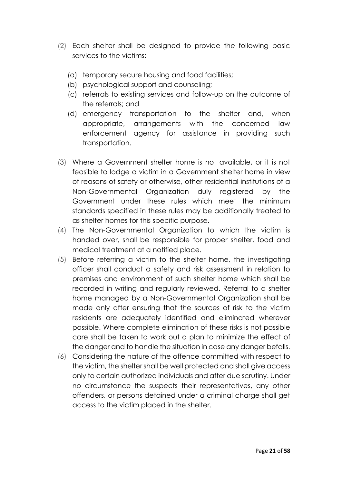- (2) Each shelter shall be designed to provide the following basic services to the victims:
	- (a) temporary secure housing and food facilities;
	- (b) psychological support and counseling;
	- (c) referrals to existing services and follow-up on the outcome of the referrals; and
	- (d) emergency transportation to the shelter and, when appropriate, arrangements with the concerned law enforcement agency for assistance in providing such transportation.
- (3) Where a Government shelter home is not available, or it is not feasible to lodge a victim in a Government shelter home in view of reasons of safety or otherwise, other residential institutions of a Non-Governmental Organization duly registered by the Government under these rules which meet the minimum standards specified in these rules may be additionally treated to as shelter homes for this specific purpose.
- (4) The Non-Governmental Organization to which the victim is handed over, shall be responsible for proper shelter, food and medical treatment at a notified place.
- (5) Before referring a victim to the shelter home, the investigating officer shall conduct a safety and risk assessment in relation to premises and environment of such shelter home which shall be recorded in writing and regularly reviewed. Referral to a shelter home managed by a Non-Governmental Organization shall be made only after ensuring that the sources of risk to the victim residents are adequately identified and eliminated wherever possible. Where complete elimination of these risks is not possible care shall be taken to work out a plan to minimize the effect of the danger and to handle the situation in case any danger befalls.
- (6) Considering the nature of the offence committed with respect to the victim, the shelter shall be well protected and shall give access only to certain authorized individuals and after due scrutiny. Under no circumstance the suspects their representatives, any other offenders, or persons detained under a criminal charge shall get access to the victim placed in the shelter.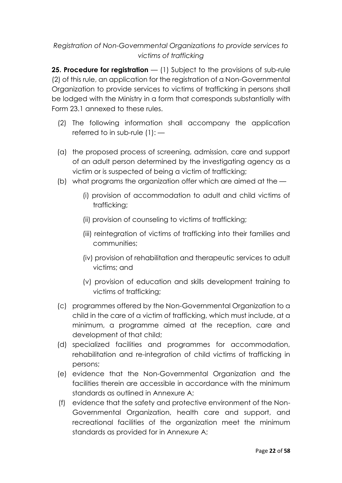# *Registration of Non-Governmental Organizations to provide services to victims of trafficking*

**25. Procedure for registration** — (1) Subject to the provisions of sub-rule (2) of this rule, an application for the registration of a Non-Governmental Organization to provide services to victims of trafficking in persons shall be lodged with the Ministry in a form that corresponds substantially with Form 23.1 annexed to these rules.

- (2) The following information shall accompany the application referred to in sub-rule  $(1)$ : —
- (a) the proposed process of screening, admission, care and support of an adult person determined by the investigating agency as a victim or is suspected of being a victim of trafficking;
- (b) what programs the organization offer which are aimed at the
	- (i) provision of accommodation to adult and child victims of trafficking;
	- (ii) provision of counseling to victims of trafficking;
	- (iii) reintegration of victims of trafficking into their families and communities;
	- (iv) provision of rehabilitation and therapeutic services to adult victims; and
	- (v) provision of education and skills development training to victims of trafficking;
- (c) programmes offered by the Non-Governmental Organization to a child in the care of a victim of trafficking, which must include, at a minimum, a programme aimed at the reception, care and development of that child;
- (d) specialized facilities and programmes for accommodation, rehabilitation and re-integration of child victims of trafficking in persons;
- (e) evidence that the Non-Governmental Organization and the facilities therein are accessible in accordance with the minimum standards as outlined in Annexure A;
- (f) evidence that the safety and protective environment of the Non-Governmental Organization, health care and support, and recreational facilities of the organization meet the minimum standards as provided for in Annexure A;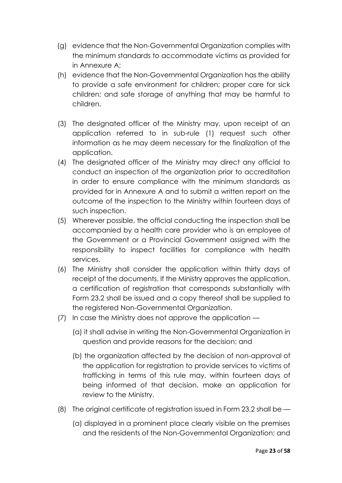- (g) evidence that the Non-Governmental Organization complies with the minimum standards to accommodate victims as provided for in Annexure A;
- (h) evidence that the Non-Governmental Organization has the ability to provide a safe environment for children; proper care for sick children; and safe storage of anything that may be harmful to children.
- (3) The designated officer of the Ministry may, upon receipt of an application referred to in sub-rule (1) request such other information as he may deem necessary for the finalization of the application.
- (4) The designated officer of the Ministry may direct any official to conduct an inspection of the organization prior to accreditation in order to ensure compliance with the minimum standards as provided for in Annexure A and to submit a written report on the outcome of the inspection to the Ministry within fourteen days of such inspection.
- (5) Wherever possible, the official conducting the inspection shall be accompanied by a health care provider who is an employee of the Government or a Provincial Government assigned with the responsibility to inspect facilities for compliance with health services.
- (6) The Ministry shall consider the application within thirty days of receipt of the documents. If the Ministry approves the application, a certification of registration that corresponds substantially with Form 23.2 shall be issued and a copy thereof shall be supplied to the registered Non-Governmental Organization.
- (7) In case the Ministry does not approve the application
	- (a) it shall advise in writing the Non-Governmental Organization in question and provide reasons for the decision; and
	- (b) the organization affected by the decision of non-approval of the application for registration to provide services to victims of trafficking in terms of this rule may, within fourteen days of being informed of that decision, make an application for review to the Ministry.
- (8) The original certificate of registration issued in Form 23.2 shall be
	- (a) displayed in a prominent place clearly visible on the premises and the residents of the Non-Governmental Organization; and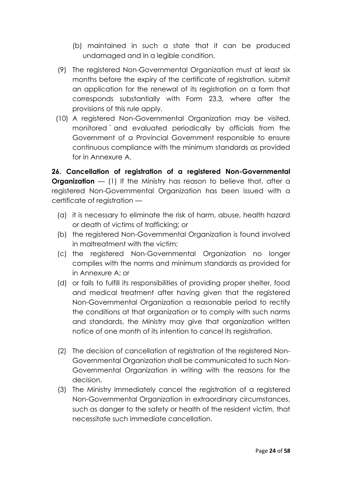- (b) maintained in such a state that it can be produced undamaged and in a legible condition.
- (9) The registered Non-Governmental Organization must at least six months before the expiry of the certificate of registration, submit an application for the renewal of its registration on a form that corresponds substantially with Form 23.3, where after the provisions of this rule apply.
- (10) A registered Non-Governmental Organization may be visited, monitored ` and evaluated periodically by officials from the Government of a Provincial Government responsible to ensure continuous compliance with the minimum standards as provided for in Annexure A.

**26. Cancellation of registration of a registered Non-Governmental Organization** — (1) If the Ministry has reason to believe that, after a registered Non-Governmental Organization has been issued with a certificate of registration —

- (a) it is necessary to eliminate the risk of harm, abuse, health hazard or death of victims of trafficking; or
- (b) the registered Non-Governmental Organization is found involved in maltreatment with the victim;
- (c) the registered Non-Governmental Organization no longer complies with the norms and minimum standards as provided for in Annexure A; or
- (d) or fails to fulfill its responsibilities of providing proper shelter, food and medical treatment after having given that the registered Non-Governmental Organization a reasonable period to rectify the conditions at that organization or to comply with such norms and standards, the Ministry may give that organization written notice of one month of its intention to cancel its registration.
- (2) The decision of cancellation of registration of the registered Non-Governmental Organization shall be communicated to such Non-Governmental Organization in writing with the reasons for the decision.
- (3) The Ministry immediately cancel the registration of a registered Non-Governmental Organization in extraordinary circumstances, such as danger to the safety or health of the resident victim, that necessitate such immediate cancellation.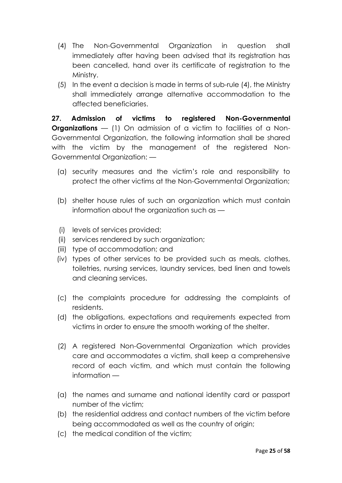- (4) The Non-Governmental Organization in question shall immediately after having been advised that its registration has been cancelled, hand over its certificate of registration to the Ministry.
- (5) In the event a decision is made in terms of sub-rule (4), the Ministry shall immediately arrange alternative accommodation to the affected beneficiaries.

**27. Admission of victims to registered Non-Governmental Organizations** – (1) On admission of a victim to facilities of a Non-Governmental Organization, the following information shall be shared with the victim by the management of the registered Non-Governmental Organization: —

- (a) security measures and the victim's role and responsibility to protect the other victims at the Non-Governmental Organization;
- (b) shelter house rules of such an organization which must contain information about the organization such as —
- (i) levels of services provided;
- (ii) services rendered by such organization;
- (iii) type of accommodation; and
- (iv) types of other services to be provided such as meals, clothes, toiletries, nursing services, laundry services, bed linen and towels and cleaning services.
- (c) the complaints procedure for addressing the complaints of residents.
- (d) the obligations, expectations and requirements expected from victims in order to ensure the smooth working of the shelter.
- (2) A registered Non-Governmental Organization which provides care and accommodates a victim, shall keep a comprehensive record of each victim, and which must contain the following information —
- (a) the names and surname and national identity card or passport number of the victim;
- (b) the residential address and contact numbers of the victim before being accommodated as well as the country of origin;
- (c) the medical condition of the victim;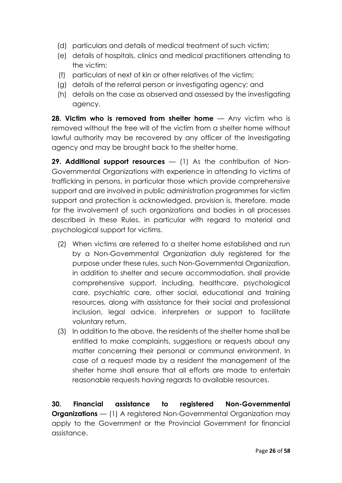- (d) particulars and details of medical treatment of such victim;
- (e) details of hospitals, clinics and medical practitioners attending to the victim;
- (f) particulars of next of kin or other relatives of the victim;
- (g) details of the referral person or investigating agency; and
- (h) details on the case as observed and assessed by the investigating agency.

**28. Victim who is removed from shelter home** — Any victim who is removed without the free will of the victim from a shelter home without lawful authority may be recovered by any officer of the investigating agency and may be brought back to the shelter home.

**29. Additional support resources** — (1) As the contribution of Non-Governmental Organizations with experience in attending to victims of trafficking in persons, in particular those which provide comprehensive support and are involved in public administration programmes for victim support and protection is acknowledged, provision is, therefore. made for the involvement of such organizations and bodies in all processes described in these Rules, in particular with regard to material and psychological support for victims.

- (2) When victims are referred to a shelter home established and run by a Non-Governmental Organization duly registered for the purpose under these rules, such Non-Governmental Organization, in addition to shelter and secure accommodation, shall provide comprehensive support, including, healthcare, psychological care, psychiatric care, other social, educational and training resources, along with assistance for their social and professional inclusion, legal advice, interpreters or support to facilitate voluntary return.
- (3) In addition to the above, the residents of the shelter home shall be entitled to make complaints, suggestions or requests about any matter concerning their personal or communal environment. In case of a request made by a resident the management of the shelter home shall ensure that all efforts are made to entertain reasonable requests having regards to available resources.

**30. Financial assistance to registered Non-Governmental Organizations** — (1) A registered Non-Governmental Organization may apply to the Government or the Provincial Government for financial assistance.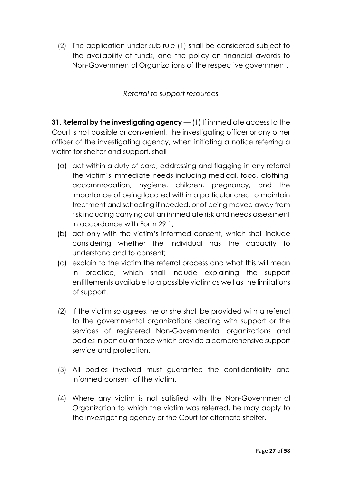(2) The application under sub-rule (1) shall be considered subject to the availability of funds, and the policy on financial awards to Non-Governmental Organizations of the respective government.

*Referral to support resources*

**31. Referral by the investigating agency** — (1) If immediate access to the Court is not possible or convenient, the investigating officer or any other officer of the investigating agency, when initiating a notice referring a victim for shelter and support, shall —

- (a) act within a duty of care, addressing and flagging in any referral the victim's immediate needs including medical, food, clothing, accommodation, hygiene, children, pregnancy, and the importance of being located within a particular area to maintain treatment and schooling if needed, or of being moved away from risk including carrying out an immediate risk and needs assessment in accordance with Form 29.1;
- (b) act only with the victim's informed consent, which shall include considering whether the individual has the capacity to understand and to consent;
- (c) explain to the victim the referral process and what this will mean in practice, which shall include explaining the support entitlements available to a possible victim as well as the limitations of support.
- (2) If the victim so agrees, he or she shall be provided with a referral to the governmental organizations dealing with support or the services of registered Non-Governmental organizations and bodies in particular those which provide a comprehensive support service and protection.
- (3) All bodies involved must guarantee the confidentiality and informed consent of the victim.
- (4) Where any victim is not satisfied with the Non-Governmental Organization to which the victim was referred, he may apply to the investigating agency or the Court for alternate shelter.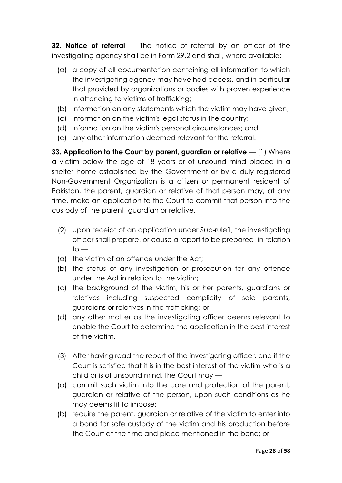**32. Notice of referral** — The notice of referral by an officer of the investigating agency shall be in Form 29.2 and shall, where available: —

- (a) a copy of all documentation containing all information to which the investigating agency may have had access, and in particular that provided by organizations or bodies with proven experience in attending to victims of trafficking;
- (b) information on any statements which the victim may have given;
- (c) information on the victim's legal status in the country;
- (d) information on the victim's personal circumstances; and
- (e) any other information deemed relevant for the referral.

**33. Application to the Court by parent, guardian or relative — (1) Where** a victim below the age of 18 years or of unsound mind placed in a shelter home established by the Government or by a duly registered Non-Government Organization is a citizen or permanent resident of Pakistan, the parent, guardian or relative of that person may, at any time, make an application to the Court to commit that person into the custody of the parent, guardian or relative.

- (2) Upon receipt of an application under Sub-rule1, the investigating officer shall prepare, or cause a report to be prepared, in relation  $to -$
- (a) the victim of an offence under the Act;
- (b) the status of any investigation or prosecution for any offence under the Act in relation to the victim;
- (c) the background of the victim, his or her parents, guardians or relatives including suspected complicity of said parents, guardians or relatives in the trafficking; or
- (d) any other matter as the investigating officer deems relevant to enable the Court to determine the application in the best interest of the victim.
- (3) After having read the report of the investigating officer, and if the Court is satisfied that it is in the best interest of the victim who is a child or is of unsound mind, the Court may —
- (a) commit such victim into the care and protection of the parent, guardian or relative of the person, upon such conditions as he may deems fit to impose;
- (b) require the parent, guardian or relative of the victim to enter into a bond for safe custody of the victim and his production before the Court at the time and place mentioned in the bond; or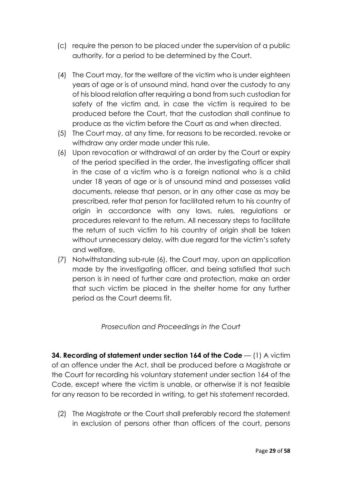- (c) require the person to be placed under the supervision of a public authority, for a period to be determined by the Court.
- (4) The Court may, for the welfare of the victim who is under eighteen years of age or is of unsound mind, hand over the custody to any of his blood relation after requiring a bond from such custodian for safety of the victim and, in case the victim is required to be produced before the Court, that the custodian shall continue to produce as the victim before the Court as and when directed.
- (5) The Court may, at any time, for reasons to be recorded, revoke or withdraw any order made under this rule.
- (6) Upon revocation or withdrawal of an order by the Court or expiry of the period specified in the order, the investigating officer shall in the case of a victim who is a foreign national who is a child under 18 years of age or is of unsound mind and possesses valid documents, release that person, or in any other case as may be prescribed, refer that person for facilitated return to his country of origin in accordance with any laws, rules, regulations or procedures relevant to the return. All necessary steps to facilitate the return of such victim to his country of origin shall be taken without unnecessary delay, with due regard for the victim's safety and welfare.
- (7) Notwithstanding sub-rule (6), the Court may, upon an application made by the investigating officer, and being satisfied that such person is in need of further care and protection, make an order that such victim be placed in the shelter home for any further period as the Court deems fit.

### *Prosecution and Proceedings in the Court*

**34. Recording of statement under section 164 of the Code** — (1) A victim of an offence under the Act, shall be produced before a Magistrate or the Court for recording his voluntary statement under section 164 of the Code, except where the victim is unable, or otherwise it is not feasible for any reason to be recorded in writing, to get his statement recorded.

(2) The Magistrate or the Court shall preferably record the statement in exclusion of persons other than officers of the court, persons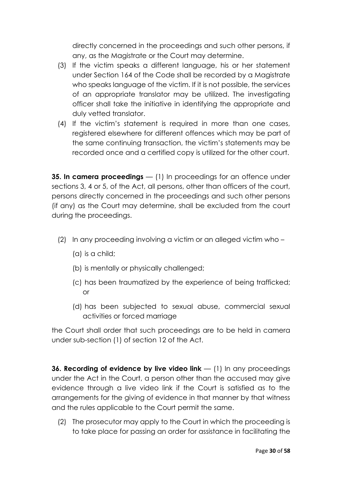directly concerned in the proceedings and such other persons, if any, as the Magistrate or the Court may determine.

- (3) If the victim speaks a different language, his or her statement under Section 164 of the Code shall be recorded by a Magistrate who speaks language of the victim. If it is not possible, the services of an appropriate translator may be utilized. The investigating officer shall take the initiative in identifying the appropriate and duly vetted translator.
- (4) If the victim's statement is required in more than one cases, registered elsewhere for different offences which may be part of the same continuing transaction, the victim's statements may be recorded once and a certified copy is utilized for the other court.

**35. In camera proceedings** — (1) In proceedings for an offence under sections 3, 4 or 5, of the Act, all persons, other than officers of the court, persons directly concerned in the proceedings and such other persons (if any) as the Court may determine, shall be excluded from the court during the proceedings.

- (2) In any proceeding involving a victim or an alleged victim who
	- (a) is a child;
	- (b) is mentally or physically challenged;
	- (c) has been traumatized by the experience of being trafficked; or
	- (d) has been subjected to sexual abuse, commercial sexual activities or forced marriage

the Court shall order that such proceedings are to be held in camera under sub-section (1) of section 12 of the Act.

**36. Recording of evidence by live video link** — (1) In any proceedings under the Act in the Court, a person other than the accused may give evidence through a live video link if the Court is satisfied as to the arrangements for the giving of evidence in that manner by that witness and the rules applicable to the Court permit the same.

(2) The prosecutor may apply to the Court in which the proceeding is to take place for passing an order for assistance in facilitating the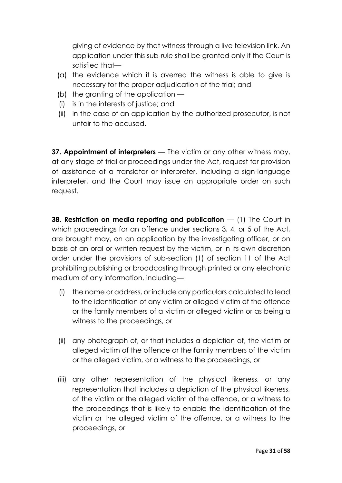giving of evidence by that witness through a live television link. An application under this sub-rule shall be granted only if the Court is satisfied that—

- (a) the evidence which it is averred the witness is able to give is necessary for the proper adjudication of the trial; and
- (b) the granting of the application —
- (i) is in the interests of justice; and
- (ii) in the case of an application by the authorized prosecutor, is not unfair to the accused.

**37. Appointment of interpreters** — The victim or any other witness may, at any stage of trial or proceedings under the Act, request for provision of assistance of a translator or interpreter, including a sign-language interpreter, and the Court may issue an appropriate order on such request.

**38. Restriction on media reporting and publication** — (1) The Court in which proceedings for an offence under sections 3*,* 4, or 5 of the Act, are brought may, on an application by the investigating officer, or on basis of an oral or written request by the victim, or in its own discretion order under the provisions of sub-section (1) of section 11 of the Act prohibiting publishing or broadcasting through printed or any electronic medium of any information, including—

- (i) the name or address, or include any particulars calculated to lead to the identification of any victim or alleged victim of the offence or the family members of a victim or alleged victim or as being a witness to the proceedings, or
- (ii) any photograph of, or that includes a depiction of, the victim or alleged victim of the offence or the family members of the victim or the alleged victim, or a witness to the proceedings, or
- (iii) any other representation of the physical likeness, or any representation that includes a depiction of the physical likeness, of the victim or the alleged victim of the offence, or a witness to the proceedings that is likely to enable the identification of the victim or the alleged victim of the offence, or a witness to the proceedings, or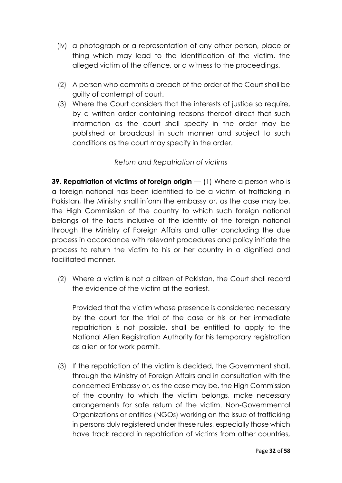- (iv) a photograph or a representation of any other person, place or thing which may lead to the identification of the victim, the alleged victim of the offence, or a witness to the proceedings.
- (2) A person who commits a breach of the order of the Court shall be guilty of contempt of court.
- (3) Where the Court considers that the interests of justice so require, by a written order containing reasons thereof direct that such information as the court shall specify in the order may be published or broadcast in such manner and subject to such conditions as the court may specify in the order.

# *Return and Repatriation of victims*

**39. Repatriation of victims of foreign origin** — (1) Where a person who is a foreign national has been identified to be a victim of trafficking in Pakistan, the Ministry shall inform the embassy or, as the case may be, the High Commission of the country to which such foreign national belongs of the facts inclusive of the identity of the foreign national through the Ministry of Foreign Affairs and after concluding the due process in accordance with relevant procedures and policy initiate the process to return the victim to his or her country in a dignified and facilitated manner.

(2) Where a victim is not a citizen of Pakistan, the Court shall record the evidence of the victim at the earliest.

Provided that the victim whose presence is considered necessary by the court for the trial of the case or his or her immediate repatriation is not possible, shall be entitled to apply to the National Alien Registration Authority for his temporary registration as alien or for work permit.

(3) If the repatriation of the victim is decided, the Government shall, through the Ministry of Foreign Affairs and in consultation with the concerned Embassy or, as the case may be, the High Commission of the country to which the victim belongs, make necessary arrangements for safe return of the victim. Non-Governmental Organizations or entities (NGOs) working on the issue of trafficking in persons duly registered under these rules, especially those which have track record in repatriation of victims from other countries,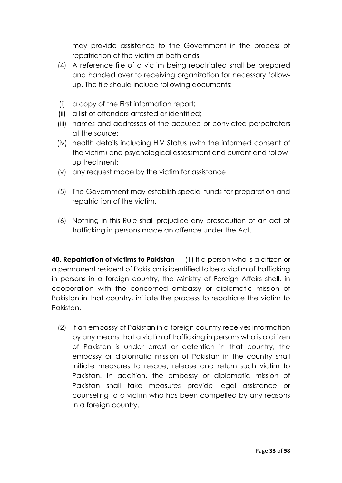may provide assistance to the Government in the process of repatriation of the victim at both ends.

- (4) A reference file of a victim being repatriated shall be prepared and handed over to receiving organization for necessary followup. The file should include following documents:
- (i) a copy of the First information report;
- (ii) a list of offenders arrested or identified;
- (iii) names and addresses of the accused or convicted perpetrators at the source;
- (iv) health details including HIV Status (with the informed consent of the victim) and psychological assessment and current and followup treatment;
- (v) any request made by the victim for assistance.
- (5) The Government may establish special funds for preparation and repatriation of the victim.
- (6) Nothing in this Rule shall prejudice any prosecution of an act of trafficking in persons made an offence under the Act.

**40. Repatriation of victims to Pakistan** — (1) If a person who is a citizen or a permanent resident of Pakistan is identified to be a victim of trafficking in persons in a foreign country, the Ministry of Foreign Affairs shall, in cooperation with the concerned embassy or diplomatic mission of Pakistan in that country, initiate the process to repatriate the victim to Pakistan.

(2) If an embassy of Pakistan in a foreign country receives information by any means that a victim of trafficking in persons who is a citizen of Pakistan is under arrest or detention in that country, the embassy or diplomatic mission of Pakistan in the country shall initiate measures to rescue, release and return such victim to Pakistan. In addition, the embassy or diplomatic mission of Pakistan shall take measures provide legal assistance or counseling to a victim who has been compelled by any reasons in a foreign country.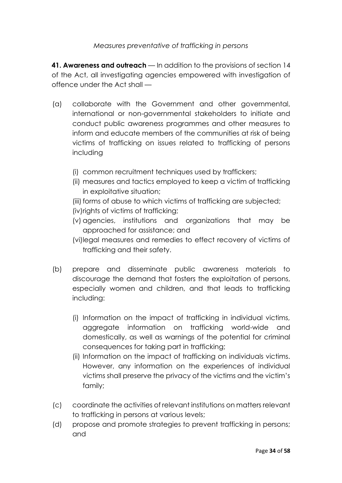### *Measures preventative of trafficking in persons*

**41. Awareness and outreach** — In addition to the provisions of section 14 of the Act, all investigating agencies empowered with investigation of offence under the Act shall —

- (a) collaborate with the Government and other governmental, international or non-governmental stakeholders to initiate and conduct public awareness programmes and other measures to inform and educate members of the communities at risk of being victims of trafficking on issues related to trafficking of persons including
	- (i) common recruitment techniques used by traffickers;
	- (ii) measures and tactics employed to keep a victim of trafficking in exploitative situation;
	- (iii) forms of abuse to which victims of trafficking are subjected;
	- (iv)rights of victims of trafficking;
	- (v) agencies, institutions and organizations that may be approached for assistance; and
	- (vi)legal measures and remedies to effect recovery of victims of trafficking and their safety.
- (b) prepare and disseminate public awareness materials to discourage the demand that fosters the exploitation of persons, especially women and children, and that leads to trafficking including:
	- (i) Information on the impact of trafficking in individual victims, aggregate information on trafficking world-wide and domestically, as well as warnings of the potential for criminal consequences for taking part in trafficking;
	- (ii) Information on the impact of trafficking on individuals victims. However, any information on the experiences of individual victims shall preserve the privacy of the victims and the victim's family;
- (c) coordinate the activities of relevant institutions on matters relevant to trafficking in persons at various levels;
- (d) propose and promote strategies to prevent trafficking in persons; and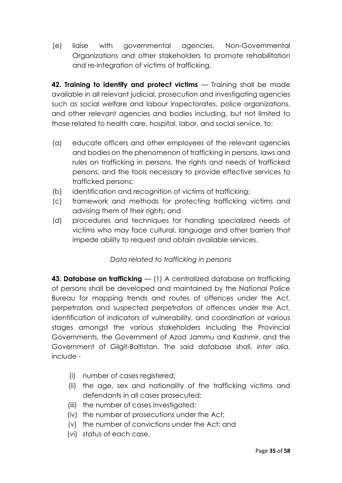(e) liaise with governmental agencies, Non-Governmental Organizations and other stakeholders to promote rehabilitation and re-integration of victims of trafficking.

**42. Training to identify and protect victims** — Training shall be made available in all relevant judicial, prosecution and investigating agencies such as social welfare and labour inspectorates, police organizations, and other relevant agencies and bodies including, but not limited to those related to health care, hospital, labor, and social service, to:

- (a) educate officers and other employees of the relevant agencies and bodies on the phenomenon of trafficking in persons, laws and rules on trafficking in persons, the rights and needs of trafficked persons, and the tools necessary to provide effective services to trafficked persons;
- (b) identification and recognition of victims of trafficking;
- (c) framework and methods for protecting trafficking victims and advising them of their rights; and
- (d) procedures and techniques for handling specialized needs of victims who may face cultural, language and other barriers that impede ability to request and obtain available services.

# *Data related to trafficking in persons*

**43. Database on trafficking** — (1) A centralized database on trafficking of persons shall be developed and maintained by the National Police Bureau for mapping trends and routes of offences under the Act, perpetrators and suspected perpetrators of offences under the Act, identification of indicators of vulnerability, and coordination at various stages amongst the various stakeholders including the Provincial Governments, the Government of Azad Jammu and Kashmir, and the Government of Gilgit-Baltistan. The said database shall, *inter alia*, include -

- (i) number of cases registered;
- (ii) the age, sex and nationality of the trafficking victims and defendants in all cases prosecuted;
- (iii) the number of cases investigated;
- (iv) the number of prosecutions under the Act;
- (v) the number of convictions under the Act; and
- (vi) status of each case.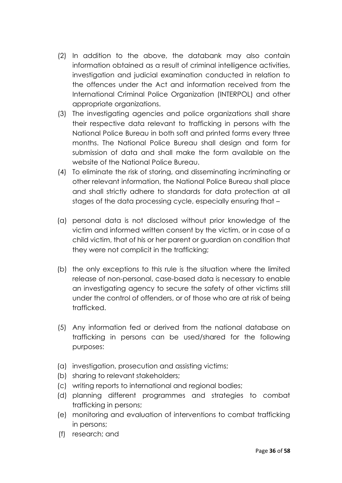- (2) In addition to the above, the databank may also contain information obtained as a result of criminal intelligence activities, investigation and judicial examination conducted in relation to the offences under the Act and information received from the International Criminal Police Organization (INTERPOL) and other appropriate organizations.
- (3) The investigating agencies and police organizations shall share their respective data relevant to trafficking in persons with the National Police Bureau in both soft and printed forms every three months. The National Police Bureau shall design and form for submission of data and shall make the form available on the website of the National Police Bureau.
- (4) To eliminate the risk of storing, and disseminating incriminating or other relevant information, the National Police Bureau shall place and shall strictly adhere to standards for data protection at all stages of the data processing cycle, especially ensuring that –
- (a) personal data is not disclosed without prior knowledge of the victim and informed written consent by the victim, or in case of a child victim, that of his or her parent or guardian on condition that they were not complicit in the trafficking;
- (b) the only exceptions to this rule is the situation where the limited release of non-personal, case-based data is necessary to enable an investigating agency to secure the safety of other victims still under the control of offenders, or of those who are at risk of being trafficked.
- (5) Any information fed or derived from the national database on trafficking in persons can be used/shared for the following purposes:
- (a) investigation, prosecution and assisting victims;
- (b) sharing to relevant stakeholders;
- (c) writing reports to international and regional bodies;
- (d) planning different programmes and strategies to combat trafficking in persons;
- (e) monitoring and evaluation of interventions to combat trafficking in persons;
- (f) research; and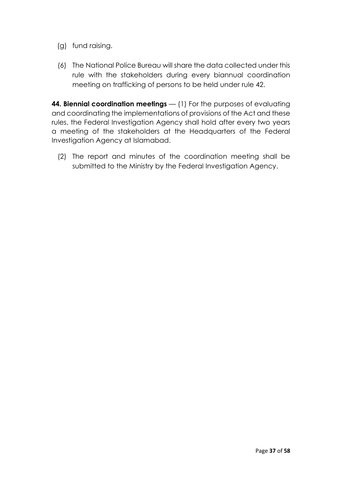- (g) fund raising.
- (6) The National Police Bureau will share the data collected under this rule with the stakeholders during every biannual coordination meeting on trafficking of persons to be held under rule 42.

**44. Biennial coordination meetings** — (1) For the purposes of evaluating and coordinating the implementations of provisions of the Act and these rules, the Federal Investigation Agency shall hold after every two years a meeting of the stakeholders at the Headquarters of the Federal Investigation Agency at Islamabad.

(2) The report and minutes of the coordination meeting shall be submitted to the Ministry by the Federal Investigation Agency.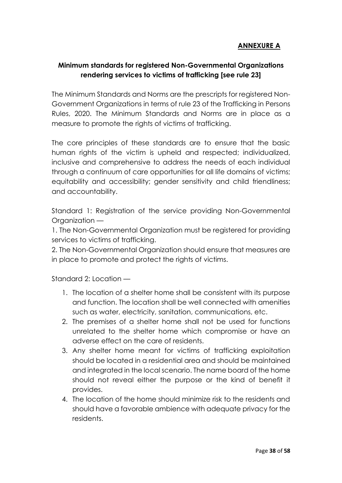# **ANNEXURE A**

# **Minimum standards for registered Non-Governmental Organizations rendering services to victims of trafficking [see rule 23]**

The Minimum Standards and Norms are the prescripts for registered Non-Government Organizations in terms of rule 23 of the Trafficking in Persons Rules, 2020. The Minimum Standards and Norms are in place as a measure to promote the rights of victims of trafficking.

The core principles of these standards are to ensure that the basic human rights of the victim is upheld and respected; individualized, inclusive and comprehensive to address the needs of each individual through a continuum of care opportunities for all life domains of victims; equitability and accessibility; gender sensitivity and child friendliness; and accountability.

Standard 1: Registration of the service providing Non-Governmental Organization —

1. The Non-Governmental Organization must be registered for providing services to victims of trafficking.

2. The Non-Governmental Organization should ensure that measures are in place to promote and protect the rights of victims.

Standard 2: Location —

- 1. The location of a shelter home shall be consistent with its purpose and function. The location shall be well connected with amenities such as water, electricity, sanitation, communications, etc.
- 2. The premises of a shelter home shall not be used for functions unrelated to the shelter home which compromise or have an adverse effect on the care of residents.
- 3. Any shelter home meant for victims of trafficking exploitation should be located in a residential area and should be maintained and integrated in the local scenario. The name board of the home should not reveal either the purpose or the kind of benefit it provides.
- 4. The location of the home should minimize risk to the residents and should have a favorable ambience with adequate privacy for the residents.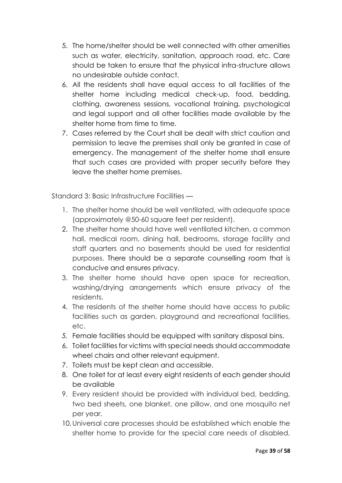- 5. The home/shelter should be well connected with other amenities such as water, electricity, sanitation, approach road, etc. Care should be taken to ensure that the physical infra-structure allows no undesirable outside contact.
- 6. All the residents shall have equal access to all facilities of the shelter home including medical check-up, food, bedding, clothing, awareness sessions, vocational training, psychological and legal support and all other facilities made available by the shelter home from time to time.
- 7. Cases referred by the Court shall be dealt with strict caution and permission to leave the premises shall only be granted in case of emergency. The management of the shelter home shall ensure that such cases are provided with proper security before they leave the shelter home premises.

Standard 3: Basic Infrastructure Facilities —

- 1. The shelter home should be well ventilated, with adequate space (approximately @50-60 square feet per resident).
- 2. The shelter home should have well ventilated kitchen, a common hall, medical room, dining hall, bedrooms, storage facility and staff quarters and no basements should be used for residential purposes. There should be a separate counselling room that is conducive and ensures privacy.
- 3. The shelter home should have open space for recreation, washing/drying arrangements which ensure privacy of the residents.
- 4. The residents of the shelter home should have access to public facilities such as garden, playground and recreational facilities, etc.
- *5.* Female facilities should be equipped with sanitary disposal bins.
- 6. Toilet facilities for victims with special needs should accommodate wheel chairs and other relevant equipment.
- 7. Toilets must be kept clean and accessible.
- 8. One toilet for at least every eight residents of each gender should be available
- 9. Every resident should be provided with individual bed, bedding, two bed sheets, one blanket, one pillow, and one mosquito net per year.
- 10.Universal care processes should be established which enable the shelter home to provide for the special care needs of disabled,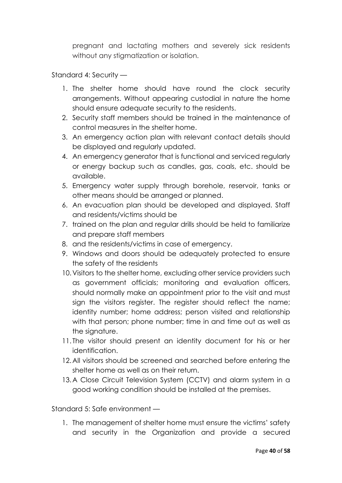pregnant and lactating mothers and severely sick residents without any stigmatization or isolation.

### Standard 4: Security —

- 1. The shelter home should have round the clock security arrangements. Without appearing custodial in nature the home should ensure adequate security to the residents.
- 2. Security staff members should be trained in the maintenance of control measures in the shelter home.
- 3. An emergency action plan with relevant contact details should be displayed and regularly updated.
- 4. An emergency generator that is functional and serviced regularly or energy backup such as candles, gas, coals, etc. should be available.
- 5. Emergency water supply through borehole, reservoir, tanks or other means should be arranged or planned.
- 6. An evacuation plan should be developed and displayed. Staff and residents/victims should be
- 7. trained on the plan and regular drills should be held to familiarize and prepare staff members
- 8. and the residents/victims in case of emergency.
- 9. Windows and doors should be adequately protected to ensure the safety of the residents
- 10.Visitors to the shelter home, excluding other service providers such as government officials; monitoring and evaluation officers, should normally make an appointment prior to the visit and must sign the visitors register. The register should reflect the name; identity number; home address; person visited and relationship with that person; phone number; time in and time out as well as the signature.
- 11. The visitor should present an identity document for his or her identification.
- 12.All visitors should be screened and searched before entering the shelter home as well as on their return.
- 13.A Close Circuit Television System (CCTV) and alarm system in a good working condition should be installed at the premises.

Standard 5: Safe environment —

1. The management of shelter home must ensure the victims' safety and security in the Organization and provide a secured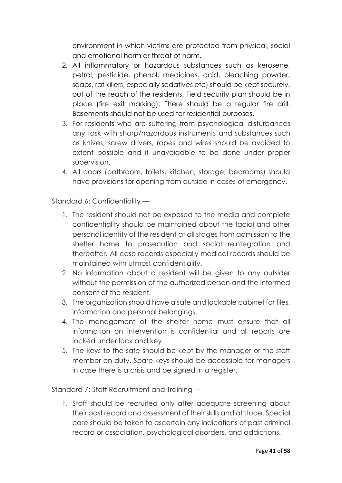environment in which victims are protected from physical, social and emotional harm or threat of harm.

- 2. All inflammatory or hazardous substances such as kerosene, petrol, pesticide, phenol, medicines, acid, bleaching powder, soaps, rat killers, especially sedatives etc) should be kept securely, out of the reach of the residents. Field security plan should be in place (fire exit marking). There should be a regular fire drill. Basements should not be used for residential purposes.
- 3. For residents who are suffering from psychological disturbances any task with sharp/hazardous instruments and substances such as knives, screw drivers, ropes and wires should be avoided to extent possible and if unavoidable to be done under proper supervision.
- 4. All doors (bathroom, toilets, kitchen, storage, bedrooms) should have provisions for opening from outside in cases of emergency.

Standard 6: Confidentiality —

- 1. The resident should not be exposed to the media and complete confidentiality should be maintained about the facial and other personal identity of the resident at all stages from admission to the shelter home to prosecution and social reintegration and thereafter. All case records especially medical records should be maintained with utmost confidentiality.
- 2. No information about a resident will be given to any outsider without the permission of the authorized person and the informed consent of the resident.
- 3. The organization should have a safe and lockable cabinet for files, information and personal belongings.
- 4. The management of the shelter home must ensure that all information on intervention is confidential and all reports are locked under lock and key.
- 5. The keys to the safe should be kept by the manager or the staff member on duty. Spare keys should be accessible for managers in case there is a crisis and be signed in a register.

Standard 7: Staff Recruitment and Training —

1. Staff should be recruited only after adequate screening about their past record and assessment of their skills and attitude. Special care should be taken to ascertain any indications of past criminal record or association, psychological disorders, and addictions.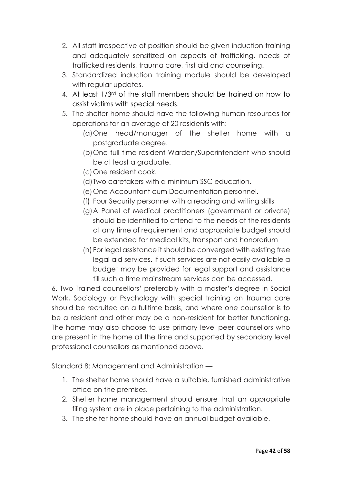- 2. All staff irrespective of position should be given induction training and adequately sensitized on aspects of trafficking, needs of trafficked residents, trauma care, first aid and counseling.
- 3. Standardized induction training module should be developed with regular updates.
- 4. At least 1/3rd of the staff members should be trained on how to assist victims with special needs.
- 5. The shelter home should have the following human resources for operations for an average of 20 residents with:
	- (a)One head/manager of the shelter home with a postgraduate degree.
	- (b)One full time resident Warden/Superintendent who should be at least a graduate.
	- (c)One resident cook.
	- (d)Two caretakers with a minimum SSC education.
	- (e)One Accountant cum Documentation personnel.
	- (f) Four Security personnel with a reading and writing skills
	- (g)A Panel of Medical practitioners (government or private) should be identified to attend to the needs of the residents at any time of requirement and appropriate budget should be extended for medical kits, transport and honorarium
	- (h) For legal assistance it should be converged with existing free legal aid services. If such services are not easily available a budget may be provided for legal support and assistance till such a time mainstream services can be accessed.

6. Two Trained counsellors' preferably with a master's degree in Social Work, Sociology or Psychology with special training on trauma care should be recruited on a fulltime basis, and where one counsellor is to be a resident and other may be a non-resident for better functioning. The home may also choose to use primary level peer counsellors who are present in the home all the time and supported by secondary level professional counsellors as mentioned above.

Standard 8: Management and Administration —

- 1. The shelter home should have a suitable, furnished administrative office on the premises.
- 2. Shelter home management should ensure that an appropriate filing system are in place pertaining to the administration.
- 3. The shelter home should have an annual budget available.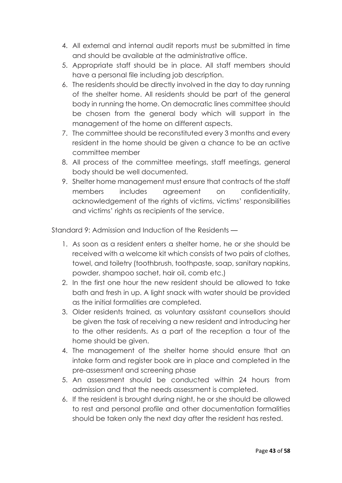- 4. All external and internal audit reports must be submitted in time and should be available at the administrative office.
- 5. Appropriate staff should be in place. All staff members should have a personal file including job description.
- 6. The residents should be directly involved in the day to day running of the shelter home. All residents should be part of the general body in running the home. On democratic lines committee should be chosen from the general body which will support in the management of the home on different aspects.
- 7. The committee should be reconstituted every 3 months and every resident in the home should be given a chance to be an active committee member
- 8. All process of the committee meetings, staff meetings, general body should be well documented.
- 9. Shelter home management must ensure that contracts of the staff members includes agreement on confidentiality, acknowledgement of the rights of victims, victims' responsibilities and victims' rights as recipients of the service.

Standard 9: Admission and Induction of the Residents —

- 1. As soon as a resident enters a shelter home, he or she should be received with a welcome kit which consists of two pairs of clothes, towel, and toiletry (toothbrush, toothpaste, soap, sanitary napkins, powder, shampoo sachet, hair oil, comb etc.)
- 2. In the first one hour the new resident should be allowed to take bath and fresh in up. A light snack with water should be provided as the initial formalities are completed.
- 3. Older residents trained, as voluntary assistant counsellors should be given the task of receiving a new resident and introducing her to the other residents. As a part of the reception a tour of the home should be given.
- 4. The management of the shelter home should ensure that an intake form and register book are in place and completed in the pre-assessment and screening phase
- 5. An assessment should be conducted within 24 hours from admission and that the needs assessment is completed.
- 6. If the resident is brought during night, he or she should be allowed to rest and personal profile and other documentation formalities should be taken only the next day after the resident has rested.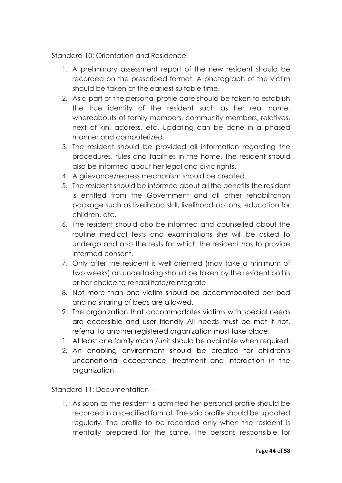Standard 10: Orientation and Residence —

- 1. A preliminary assessment report of the new resident should be recorded on the prescribed format. A photograph of the victim should be taken at the earliest suitable time.
- 2. As a part of the personal profile care should be taken to establish the true identity of the resident such as her real name, whereabouts of family members, community members, relatives, next of kin, address, etc. Updating can be done in a phased manner and computerized.
- 3. The resident should be provided all information regarding the procedures, rules and facilities in the home. The resident should also be informed about her legal and civic rights.
- 4. A grievance/redress mechanism should be created.
- 5. The resident should be informed about all the benefits the resident is entitled from the Government and all other rehabilitation package such as livelihood skill, livelihood options, education for children, etc.
- 6. The resident should also be informed and counselled about the routine medical tests and examinations she will be asked to undergo and also the tests for which the resident has to provide informed consent.
- 7. Only after the resident is well oriented (may take a minimum of two weeks) an undertaking should be taken by the resident on his or her choice to rehabilitate/reintegrate.
- 8. Not more than one victim should be accommodated per bed and no sharing of beds are allowed.
- 9. The organization that accommodates victims with special needs are accessible and user friendly All needs must be met if not, referral to another registered organization must take place.
- 1. At least one family room /unit should be available when required.
- 2. An enabling environment should be created for children's unconditional acceptance, treatment and interaction in the organization.

Standard 11: Documentation —

1. As soon as the resident is admitted her personal profile should be recorded in a specified format. The said profile should be updated regularly. The profile to be recorded only when the resident is mentally prepared for the same. The persons responsible for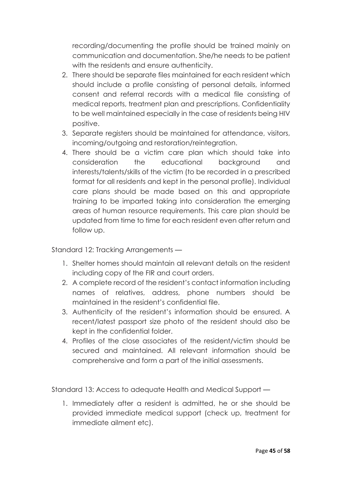recording/documenting the profile should be trained mainly on communication and documentation. She/he needs to be patient with the residents and ensure authenticity.

- 2. There should be separate files maintained for each resident which should include a profile consisting of personal details, informed consent and referral records with a medical file consisting of medical reports, treatment plan and prescriptions. Confidentiality to be well maintained especially in the case of residents being HIV positive.
- 3. Separate registers should be maintained for attendance, visitors, incoming/outgoing and restoration/reintegration.
- 4. There should be a victim care plan which should take into consideration the educational background and interests/talents/skills of the victim (to be recorded in a prescribed format for all residents and kept in the personal profile). Individual care plans should be made based on this and appropriate training to be imparted taking into consideration the emerging areas of human resource requirements. This care plan should be updated from time to time for each resident even after return and follow up.

Standard 12: Tracking Arrangements —

- 1. Shelter homes should maintain all relevant details on the resident including copy of the FIR and court orders.
- 2. A complete record of the resident's contact information including names of relatives, address, phone numbers should be maintained in the resident's confidential file.
- 3. Authenticity of the resident's information should be ensured. A recent/latest passport size photo of the resident should also be kept in the confidential folder.
- 4. Profiles of the close associates of the resident/victim should be secured and maintained. All relevant information should be comprehensive and form a part of the initial assessments.

Standard 13: Access to adequate Health and Medical Support —

1. Immediately after a resident is admitted, he or she should be provided immediate medical support (check up, treatment for immediate ailment etc).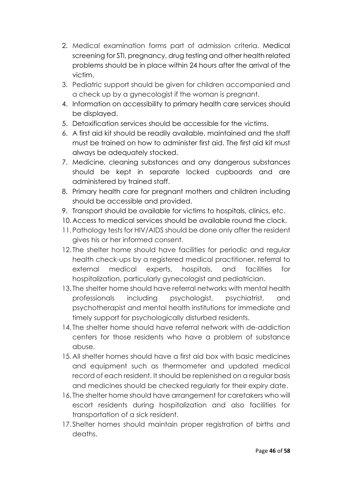- 2. Medical examination forms part of admission criteria. Medical screening for STI, pregnancy, drug testing and other health related problems should be in place within 24 hours after the arrival of the victim.
- 3. Pediatric support should be given for children accompanied and a check up by a gynecologist if the woman is pregnant.
- 4. Information on accessibility to primary health care services should be displayed.
- 5. Detoxification services should be accessible for the victims.
- 6. A first aid kit should be readily available, maintained and the staff must be trained on how to administer first aid. The first aid kit must always be adequately stocked.
- 7. Medicine, cleaning substances and any dangerous substances should be kept in separate locked cupboards and are administered by trained staff.
- 8. Primary health care for pregnant mothers and children including should be accessible and provided.
- 9. Transport should be available for victims to hospitals, clinics, etc.
- 10.Access to medical services should be available round the clock.
- 11.Pathology tests for HIV/AIDS should be done only after the resident gives his or her informed consent.
- 12. The shelter home should have facilities for periodic and regular health check-ups by a registered medical practitioner, referral to external medical experts, hospitals, and facilities for hospitalization, particularly gynecologist and pediatrician.
- 13. The shelter home should have referral networks with mental health professionals including psychologist, psychiatrist, and psychotherapist and mental health institutions for immediate and timely support for psychologically disturbed residents.
- 14. The shelter home should have referral network with de-addiction centers for those residents who have a problem of substance abuse.
- 15.All shelter homes should have a first aid box with basic medicines and equipment such as thermometer and updated medical record of each resident. It should be replenished on a regular basis and medicines should be checked regularly for their expiry date.
- 16. The shelter home should have arrangement for caretakers who will escort residents during hospitalization and also facilities for transportation of a sick resident.
- 17.Shelter homes should maintain proper registration of births and deaths.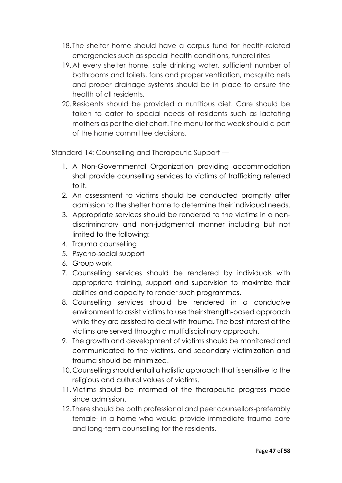- 18. The shelter home should have a corpus fund for health-related emergencies such as special health conditions, funeral rites
- 19.At every shelter home, safe drinking water, sufficient number of bathrooms and toilets, fans and proper ventilation, mosquito nets and proper drainage systems should be in place to ensure the health of all residents.
- 20.Residents should be provided a nutritious diet. Care should be taken to cater to special needs of residents such as lactating mothers as per the diet chart. The menu for the week should a part of the home committee decisions.

Standard 14: Counselling and Therapeutic Support —

- 1. A Non-Governmental Organization providing accommodation shall provide counselling services to victims of trafficking referred to it.
- 2. An assessment to victims should be conducted promptly after admission to the shelter home to determine their individual needs.
- 3. Appropriate services should be rendered to the victims in a nondiscriminatory and non-judgmental manner including but not limited to the following:
- 4. Trauma counselling
- 5. Psycho-social support
- 6. Group work
- 7. Counselling services should be rendered by individuals with appropriate training, support and supervision to maximize their abilities and capacity to render such programmes.
- 8. Counselling services should be rendered in a conducive environment to assist victims to use their strength-based approach while they are assisted to deal with trauma. The best interest of the victims are served through a multidisciplinary approach.
- 9. The growth and development of victims should be monitored and communicated to the victims. and secondary victimization and trauma should be minimized.
- 10.Counselling should entail a holistic approach that is sensitive to the religious and cultural values of victims.
- 11.Victims should be informed of the therapeutic progress made since admission.
- 12. There should be both professional and peer counsellors-preferably female- in a home who would provide immediate trauma care and long-term counselling for the residents.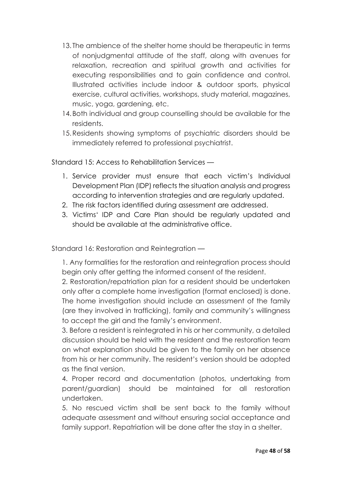- 13. The ambience of the shelter home should be therapeutic in terms of nonjudgmental attitude of the staff, along with avenues for relaxation, recreation and spiritual growth and activities for executing responsibilities and to gain confidence and control. Illustrated activities include indoor & outdoor sports, physical exercise, cultural activities, workshops, study material, magazines, music, yoga, gardening, etc.
- 14.Both individual and group counselling should be available for the residents.
- 15.Residents showing symptoms of psychiatric disorders should be immediately referred to professional psychiatrist.

Standard 15: Access to Rehabilitation Services —

- 1. Service provider must ensure that each victim's Individual Development Plan (IDP) reflects the situation analysis and progress according to intervention strategies and are regularly updated.
- 2. The risk factors identified during assessment are addressed.
- 3. Victims' IDP and Care Plan should be regularly updated and should be available at the administrative office.

Standard 16: Restoration and Reintegration —

1. Any formalities for the restoration and reintegration process should begin only after getting the informed consent of the resident.

2. Restoration/repatriation plan for a resident should be undertaken only after a complete home investigation (format enclosed) is done. The home investigation should include an assessment of the family (are they involved in trafficking), family and community's willingness to accept the girl and the family's environment.

3. Before a resident is reintegrated in his or her community, a detailed discussion should be held with the resident and the restoration team on what explanation should be given to the family on her absence from his or her community. The resident's version should be adopted as the final version.

4. Proper record and documentation (photos, undertaking from parent/guardian) should be maintained for all restoration undertaken.

5. No rescued victim shall be sent back to the family without adequate assessment and without ensuring social acceptance and family support. Repatriation will be done after the stay in a shelter.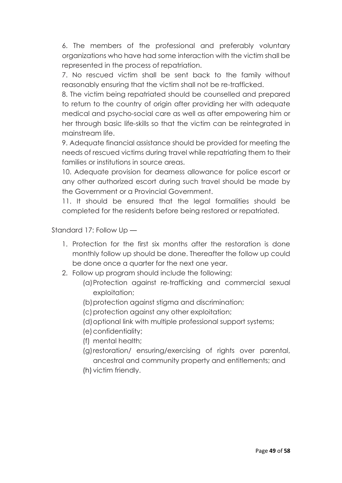6. The members of the professional and preferably voluntary organizations who have had some interaction with the victim shall be represented in the process of repatriation.

7. No rescued victim shall be sent back to the family without reasonably ensuring that the victim shall not be re-trafficked.

8. The victim being repatriated should be counselled and prepared to return to the country of origin after providing her with adequate medical and psycho-social care as well as after empowering him or her through basic life-skills so that the victim can be reintegrated in mainstream life.

9. Adequate financial assistance should be provided for meeting the needs of rescued victims during travel while repatriating them to their families or institutions in source areas.

10. Adequate provision for dearness allowance for police escort or any other authorized escort during such travel should be made by the Government or a Provincial Government.

11. It should be ensured that the legal formalities should be completed for the residents before being restored or repatriated.

Standard 17: Follow Up —

- 1. Protection for the first six months after the restoration is done monthly follow up should be done. Thereafter the follow up could be done once a quarter for the next one year.
- 2. Follow up program should include the following:
	- (a)Protection against re-trafficking and commercial sexual exploitation;
	- (b)protection against stigma and discrimination;
	- (c) protection against any other exploitation;
	- (d)optional link with multiple professional support systems;
	- (e)confidentiality;
	- (f) mental health;
	- (g)restoration/ ensuring/exercising of rights over parental, ancestral and community property and entitlements; and
	- (h) victim friendly.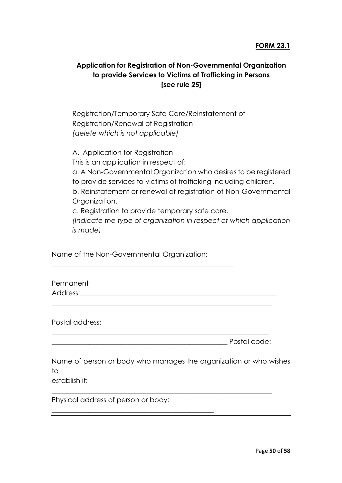### **FORM 23.1**

# **Application for Registration of Non-Governmental Organization to provide Services to Victims of Trafficking in Persons [see rule 25]**

Registration/Temporary Safe Care/Reinstatement of Registration/Renewal of Registration *(delete which is not applicable)*

A. Application for Registration This is an application in respect of: a. A Non-Governmental Organization who desires to be registered to provide services to victims of trafficking including children. b. Reinstatement or renewal of registration of Non-Governmental Organization. c. Registration to provide temporary safe care.

*(Indicate the type of organization in respect of which application is made)*

Name of the Non-Governmental Organization:

\_\_\_\_\_\_\_\_\_\_\_\_\_\_\_\_\_\_\_\_\_\_\_\_\_\_\_\_\_\_\_\_\_\_\_\_\_\_\_\_\_\_\_\_\_\_\_\_\_\_\_\_\_

Permanent Address:

Postal address:

\_\_\_\_\_\_\_\_\_\_\_\_\_\_\_\_\_\_\_\_\_\_\_\_\_\_\_\_\_\_\_\_\_\_\_\_\_\_\_\_\_\_\_\_\_\_\_\_\_\_\_ Postal code:

Name of person or body who manages the organization or who wishes to

\_\_\_\_\_\_\_\_\_\_\_\_\_\_\_\_\_\_\_\_\_\_\_\_\_\_\_\_\_\_\_\_\_\_\_\_\_\_\_\_\_\_\_\_\_\_\_\_\_\_\_\_\_\_\_\_\_\_\_\_\_\_\_\_

\_\_\_\_\_\_\_\_\_\_\_\_\_\_\_\_\_\_\_\_\_\_\_\_\_\_\_\_\_\_\_\_\_\_\_\_\_\_\_\_\_\_\_\_\_\_\_\_\_\_\_\_\_\_\_\_\_\_\_\_\_\_\_

\_\_\_\_\_\_\_\_\_\_\_\_\_\_\_\_\_\_\_\_\_\_\_\_\_\_\_\_\_\_\_\_\_\_\_\_\_\_\_\_\_\_\_\_\_\_\_\_\_\_\_\_\_\_\_\_\_\_\_\_\_\_\_\_

establish it:

Physical address of person or body:

\_\_\_\_\_\_\_\_\_\_\_\_\_\_\_\_\_\_\_\_\_\_\_\_\_\_\_\_\_\_\_\_\_\_\_\_\_\_\_\_\_\_\_\_\_\_\_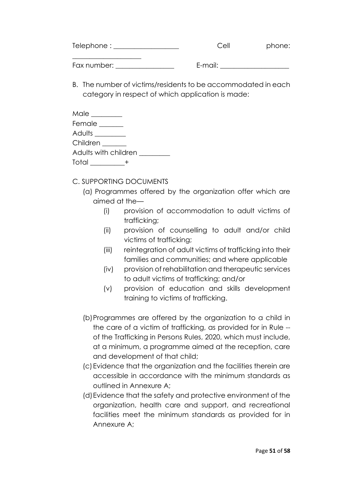| Telephone:  | Cell    | phone: |
|-------------|---------|--------|
| Fax number: | E-mail: |        |

B. The number of victims/residents to be accommodated in each category in respect of which application is made:

| Male _________       |  |
|----------------------|--|
| Female               |  |
| Adults _________     |  |
| Children ______      |  |
| Adults with children |  |
| Total ________       |  |

- C. SUPPORTING DOCUMENTS
	- (a) Programmes offered by the organization offer which are aimed at the—
		- (i) provision of accommodation to adult victims of trafficking;
		- (ii) provision of counselling to adult and/or child victims of trafficking;
		- (iii) reintegration of adult victims of trafficking into their families and communities; and where applicable
		- (iv) provision of rehabilitation and therapeutic services to adult victims of trafficking; and/or
		- (v) provision of education and skills development training to victims of trafficking.
	- (b)Programmes are offered by the organization to a child in the care of a victim of trafficking, as provided for in Rule - of the Trafficking in Persons Rules, 2020, which must include, at a minimum, a programme aimed at the reception, care and development of that child;
	- (c)Evidence that the organization and the facilities therein are accessible in accordance with the minimum standards as outlined in Annexure A;
	- (d)Evidence that the safety and protective environment of the organization, health care and support, and recreational facilities meet the minimum standards as provided for in Annexure A;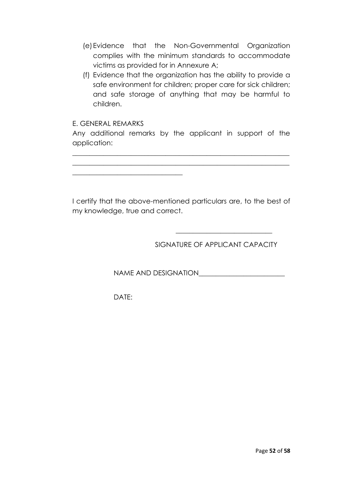- (e)Evidence that the Non-Governmental Organization complies with the minimum standards to accommodate victims as provided for in Annexure A;
- (f) Evidence that the organization has the ability to provide a safe environment for children; proper care for sick children; and safe storage of anything that may be harmful to children.

#### E. GENERAL REMARKS

**\_\_\_\_\_\_\_\_\_\_\_\_\_\_\_\_\_\_\_\_\_\_\_\_\_\_\_\_\_\_\_\_**

Any additional remarks by the applicant in support of the application:

**\_\_\_\_\_\_\_\_\_\_\_\_\_\_\_\_\_\_\_\_\_\_\_\_\_\_\_\_\_\_\_\_\_\_\_\_\_\_\_\_\_\_\_\_\_\_\_\_\_\_\_\_\_\_\_\_\_\_\_\_\_\_\_ \_\_\_\_\_\_\_\_\_\_\_\_\_\_\_\_\_\_\_\_\_\_\_\_\_\_\_\_\_\_\_\_\_\_\_\_\_\_\_\_\_\_\_\_\_\_\_\_\_\_\_\_\_\_\_\_\_\_\_\_\_\_\_**

I certify that the above-mentioned particulars are, to the best of my knowledge, true and correct.

SIGNATURE OF APPLICANT CAPACITY

**\_\_\_\_\_\_\_\_\_\_\_\_\_\_\_\_\_\_\_\_\_\_\_\_\_\_\_\_** 

NAME AND DESIGNATION

DATE: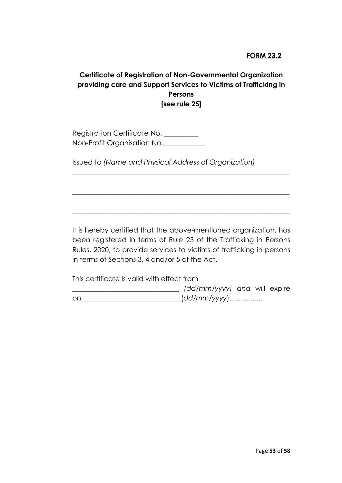### **FORM 23.2**

### **Certificate of Registration of Non-Governmental Organization providing care and Support Services to Victims of Trafficking in Persons [see rule 25]**

Registration Certificate No. \_\_\_\_\_\_\_\_\_\_ Non-Profit Organisation No.

Issued to *(Name and Physical Address* of *Organization)*

It is hereby certified that the above-mentioned organization, has been registered in terms of Rule 23 of the Trafficking in Persons Rules, 2020, to provide services to victims of trafficking in persons in terms of Sections 3, 4 and/or 5 of the Act.

\_\_\_\_\_\_\_\_\_\_\_\_\_\_\_\_\_\_\_\_\_\_\_\_\_\_\_\_\_\_\_\_\_\_\_\_\_\_\_\_\_\_\_\_\_\_\_\_\_\_\_\_\_\_\_\_\_\_\_\_\_\_\_

\_\_\_\_\_\_\_\_\_\_\_\_\_\_\_\_\_\_\_\_\_\_\_\_\_\_\_\_\_\_\_\_\_\_\_\_\_\_\_\_\_\_\_\_\_\_\_\_\_\_\_\_\_\_\_\_\_\_\_\_\_\_\_

\_\_\_\_\_\_\_\_\_\_\_\_\_\_\_\_\_\_\_\_\_\_\_\_\_\_\_\_\_\_\_\_\_\_\_\_\_\_\_\_\_\_\_\_\_\_\_\_\_\_\_\_\_\_\_\_\_\_\_\_\_\_\_

This certificate is valid with effect from

|    | (dd/mm/yyyy) and will expire |  |  |
|----|------------------------------|--|--|
| or | _(dd/mm/yyyy)                |  |  |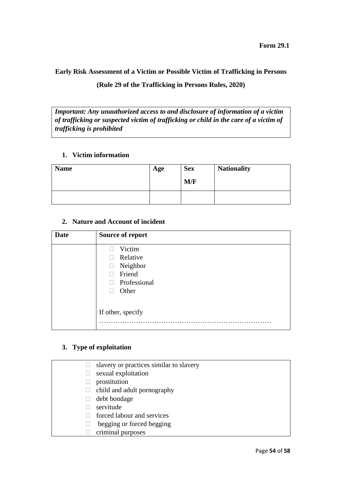# **Early Risk Assessment of a Victim or Possible Victim of Trafficking in Persons (Rule 29 of the Trafficking in Persons Rules, 2020)**

*Important: Any unauthorized access to and disclosure of information of a victim of trafficking or suspected victim of trafficking or child in the care of a victim of trafficking is prohibited*

#### **1. Victim information**

| <b>Name</b> | Age | <b>Sex</b><br>M/F | <b>Nationality</b> |
|-------------|-----|-------------------|--------------------|
|             |     |                   |                    |

#### **2. Nature and Account of incident**

| <b>Date</b> | Source of report                                                  |
|-------------|-------------------------------------------------------------------|
|             | Victim<br>Relative<br>Neighbor<br>Friend<br>Professional<br>Other |
|             | If other, specify                                                 |

#### **3. Type of exploitation**

| slavery or practices similar to slavery |
|-----------------------------------------|
| sexual exploitation                     |
| prostitution                            |
| child and adult pornography             |
| debt bondage                            |
| servitude                               |
| forced labour and services              |
| begging or forced begging               |
| criminal purposes                       |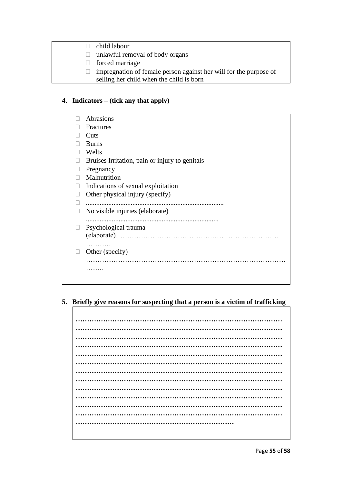- child labour
- $\Box$  unlawful removal of body organs
- forced marriage
- $\Box$  impregnation of female person against her will for the purpose of selling her child when the child is born

### **4. Indicators – (tick any that apply)**

|  | Abrasions                                      |
|--|------------------------------------------------|
|  | Fractures                                      |
|  | Cuts                                           |
|  | <b>Burns</b>                                   |
|  | Welts                                          |
|  | Bruises Irritation, pain or injury to genitals |
|  | Pregnancy                                      |
|  | Malnutrition                                   |
|  | Indications of sexual exploitation             |
|  | Other physical injury (specify)                |
|  | .                                              |
|  | No visible injuries (elaborate)                |
|  |                                                |
|  | Psychological trauma                           |
|  |                                                |
|  | .                                              |
|  | Other (specify)                                |
|  |                                                |
|  |                                                |
|  |                                                |
|  |                                                |

#### **5. Briefly give reasons for suspecting that a person is a victim of trafficking**

**……………………………………………………………………………… ……………………………………………………………………………… ……………………………………………………………………………… ……………………………………………………………………………… ……………………………………………………………………………… ……………………………………………………………………………… ……………………………………………………………………………… ……………………………………………………………………………… ……………………………………………………………………………… ……………………………………………………………………………… ……………………………………………………………………………… ……………………………………………………………………………… ……………………………………………………………**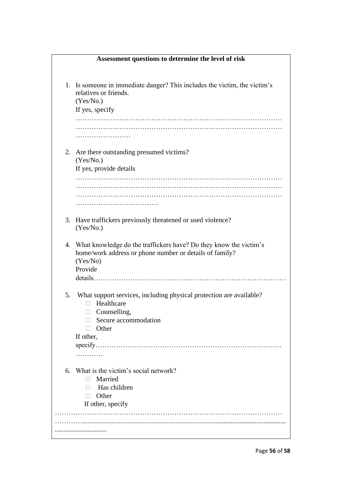|    | Assessment questions to determine the level of risk                                                                                                 |
|----|-----------------------------------------------------------------------------------------------------------------------------------------------------|
|    |                                                                                                                                                     |
|    | 1. Is someone in immediate danger? This includes the victim, the victim's<br>relatives or friends.<br>(Yes/No.)                                     |
|    | If yes, specify                                                                                                                                     |
|    |                                                                                                                                                     |
|    |                                                                                                                                                     |
|    |                                                                                                                                                     |
|    | 2. Are there outstanding presumed victims?<br>(Yes/No.)                                                                                             |
|    | If yes, provide details                                                                                                                             |
|    |                                                                                                                                                     |
|    |                                                                                                                                                     |
|    |                                                                                                                                                     |
|    |                                                                                                                                                     |
|    | 3. Have traffickers previously threatened or used violence?<br>(Yes/No.)                                                                            |
| 4. | What knowledge do the traffickers have? Do they know the victim's<br>home/work address or phone number or details of family?<br>(Yes/No)<br>Provide |
| 5. | What support services, including physical protection are available?                                                                                 |
|    | Healthcare<br>$\Box$<br>$\Box$ Counselling,                                                                                                         |
|    | Secure accommodation<br>$\Box$                                                                                                                      |
|    | $\Box$ Other<br>If other,                                                                                                                           |
|    |                                                                                                                                                     |
|    | .                                                                                                                                                   |
|    |                                                                                                                                                     |
| 6. | What is the victim's social network?                                                                                                                |
|    | Married<br>П.                                                                                                                                       |
|    | Has children<br>П                                                                                                                                   |
|    | Other<br>П<br>If other, specify                                                                                                                     |
|    |                                                                                                                                                     |
|    |                                                                                                                                                     |
|    |                                                                                                                                                     |
|    |                                                                                                                                                     |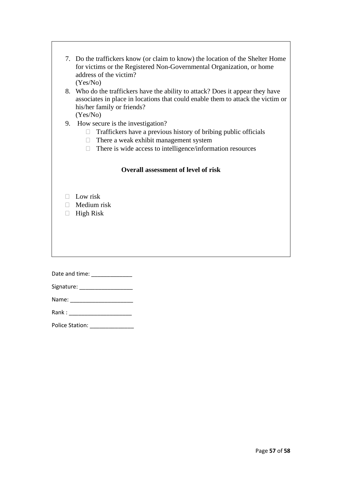|       | 7. Do the traffickers know (or claim to know) the location of the Shelter Home                 |  |  |  |
|-------|------------------------------------------------------------------------------------------------|--|--|--|
|       | for victims or the Registered Non-Governmental Organization, or home<br>address of the victim? |  |  |  |
|       | (Yes/No)                                                                                       |  |  |  |
|       | 8. Who do the traffickers have the ability to attack? Does it appear they have                 |  |  |  |
|       | associates in place in locations that could enable them to attack the victim or                |  |  |  |
|       | his/her family or friends?                                                                     |  |  |  |
|       | (Yes/No)<br>9. How secure is the investigation?                                                |  |  |  |
|       | $\Box$ Traffickers have a previous history of bribing public officials                         |  |  |  |
|       | There a weak exhibit management system<br>$\Box$                                               |  |  |  |
|       | There is wide access to intelligence/information resources<br>$\Box$                           |  |  |  |
|       |                                                                                                |  |  |  |
|       | <b>Overall assessment of level of risk</b>                                                     |  |  |  |
|       |                                                                                                |  |  |  |
|       |                                                                                                |  |  |  |
| П     | Low risk                                                                                       |  |  |  |
|       | $\Box$ Medium risk                                                                             |  |  |  |
| П.    | <b>High Risk</b>                                                                               |  |  |  |
|       |                                                                                                |  |  |  |
|       |                                                                                                |  |  |  |
|       |                                                                                                |  |  |  |
|       |                                                                                                |  |  |  |
|       |                                                                                                |  |  |  |
|       |                                                                                                |  |  |  |
|       |                                                                                                |  |  |  |
|       |                                                                                                |  |  |  |
| Rank: |                                                                                                |  |  |  |